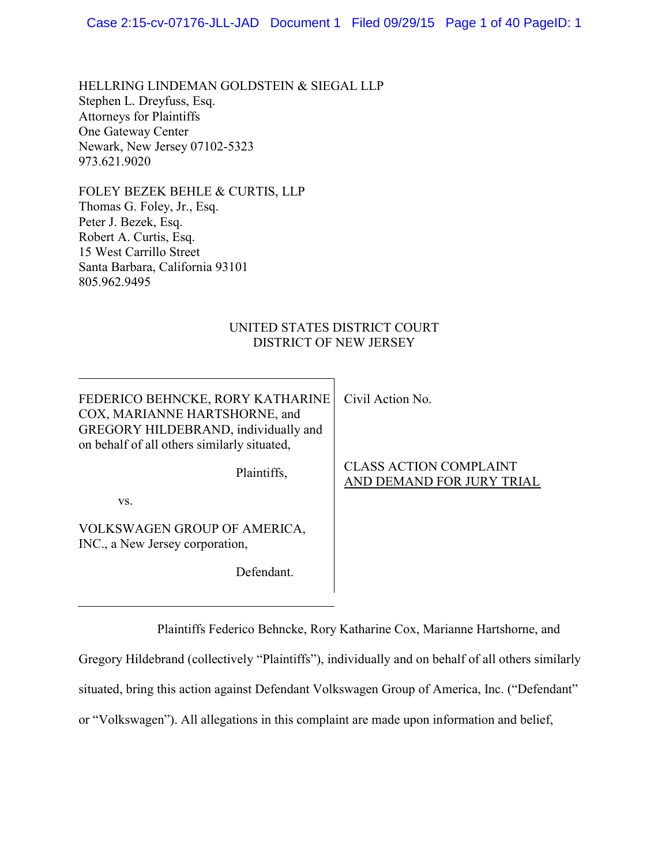HELLRING LINDEMAN GOLDSTEIN & SIEGAL LLP Stephen L. Dreyfuss, Esq. Attorneys for Plaintiffs One Gateway Center Newark, New Jersey 07102-5323 973.621.9020

FOLEY BEZEK BEHLE & CURTIS, LLP Thomas G. Foley, Jr., Esq. Peter J. Bezek, Esq. Robert A. Curtis, Esq. 15 West Carrillo Street Santa Barbara, California 93101 805.962.9495

## UNITED STATES DISTRICT COURT DISTRICT OF NEW JERSEY

FEDERICO BEHNCKE, RORY KATHARINE COX, MARIANNE HARTSHORNE, and GREGORY HILDEBRAND, individually and on behalf of all others similarly situated,

Civil Action No.

Plaintiffs,

vs.

VOLKSWAGEN GROUP OF AMERICA, INC., a New Jersey corporation,

Defendant.

## CLASS ACTION COMPLAINT AND DEMAND FOR JURY TRIAL

Plaintiffs Federico Behncke, Rory Katharine Cox, Marianne Hartshorne, and

Gregory Hildebrand (collectively "Plaintiffs"), individually and on behalf of all others similarly

situated, bring this action against Defendant Volkswagen Group of America, Inc. ("Defendant"

or "Volkswagen"). All allegations in this complaint are made upon information and belief,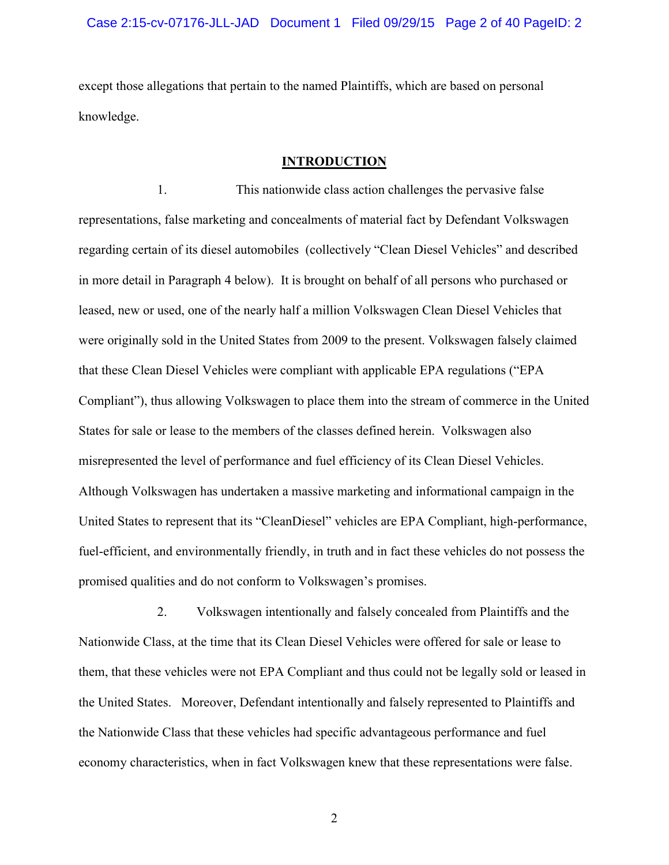except those allegations that pertain to the named Plaintiffs, which are based on personal knowledge.

## **INTRODUCTION**

1. This nationwide class action challenges the pervasive false representations, false marketing and concealments of material fact by Defendant Volkswagen regarding certain of its diesel automobiles (collectively "Clean Diesel Vehicles" and described in more detail in Paragraph 4 below). It is brought on behalf of all persons who purchased or leased, new or used, one of the nearly half a million Volkswagen Clean Diesel Vehicles that were originally sold in the United States from 2009 to the present. Volkswagen falsely claimed that these Clean Diesel Vehicles were compliant with applicable EPA regulations ("EPA Compliant"), thus allowing Volkswagen to place them into the stream of commerce in the United States for sale or lease to the members of the classes defined herein. Volkswagen also misrepresented the level of performance and fuel efficiency of its Clean Diesel Vehicles. Although Volkswagen has undertaken a massive marketing and informational campaign in the United States to represent that its "CleanDiesel" vehicles are EPA Compliant, high-performance, fuel-efficient, and environmentally friendly, in truth and in fact these vehicles do not possess the promised qualities and do not conform to Volkswagen's promises.

2. Volkswagen intentionally and falsely concealed from Plaintiffs and the Nationwide Class, at the time that its Clean Diesel Vehicles were offered for sale or lease to them, that these vehicles were not EPA Compliant and thus could not be legally sold or leased in the United States. Moreover, Defendant intentionally and falsely represented to Plaintiffs and the Nationwide Class that these vehicles had specific advantageous performance and fuel economy characteristics, when in fact Volkswagen knew that these representations were false.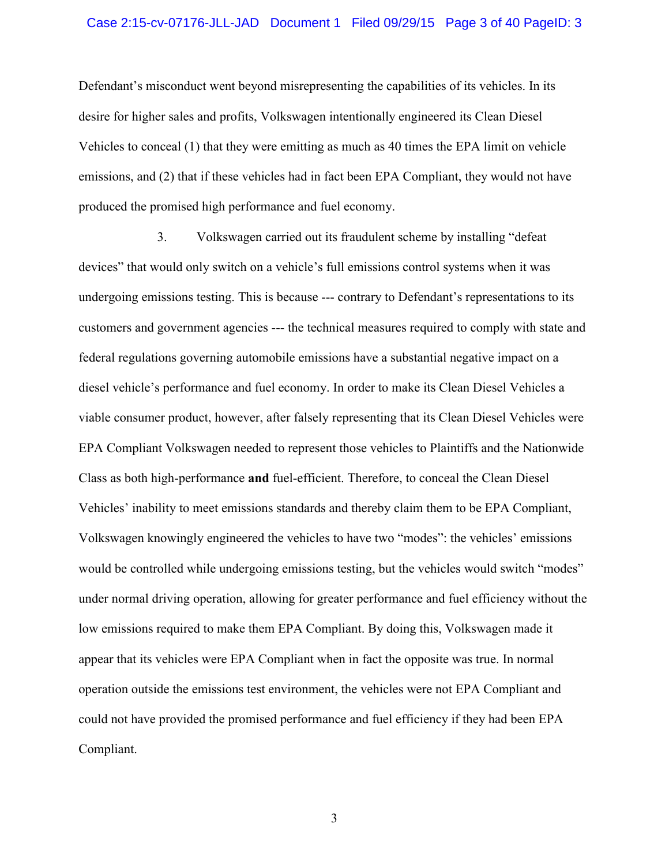#### Case 2:15-cv-07176-JLL-JAD Document 1 Filed 09/29/15 Page 3 of 40 PageID: 3

Defendant's misconduct went beyond misrepresenting the capabilities of its vehicles. In its desire for higher sales and profits, Volkswagen intentionally engineered its Clean Diesel Vehicles to conceal (1) that they were emitting as much as 40 times the EPA limit on vehicle emissions, and (2) that if these vehicles had in fact been EPA Compliant, they would not have produced the promised high performance and fuel economy.

3. Volkswagen carried out its fraudulent scheme by installing "defeat devices" that would only switch on a vehicle's full emissions control systems when it was undergoing emissions testing. This is because --- contrary to Defendant's representations to its customers and government agencies --- the technical measures required to comply with state and federal regulations governing automobile emissions have a substantial negative impact on a diesel vehicle's performance and fuel economy. In order to make its Clean Diesel Vehicles a viable consumer product, however, after falsely representing that its Clean Diesel Vehicles were EPA Compliant Volkswagen needed to represent those vehicles to Plaintiffs and the Nationwide Class as both high-performance **and** fuel-efficient. Therefore, to conceal the Clean Diesel Vehicles' inability to meet emissions standards and thereby claim them to be EPA Compliant, Volkswagen knowingly engineered the vehicles to have two "modes": the vehicles' emissions would be controlled while undergoing emissions testing, but the vehicles would switch "modes" under normal driving operation, allowing for greater performance and fuel efficiency without the low emissions required to make them EPA Compliant. By doing this, Volkswagen made it appear that its vehicles were EPA Compliant when in fact the opposite was true. In normal operation outside the emissions test environment, the vehicles were not EPA Compliant and could not have provided the promised performance and fuel efficiency if they had been EPA Compliant.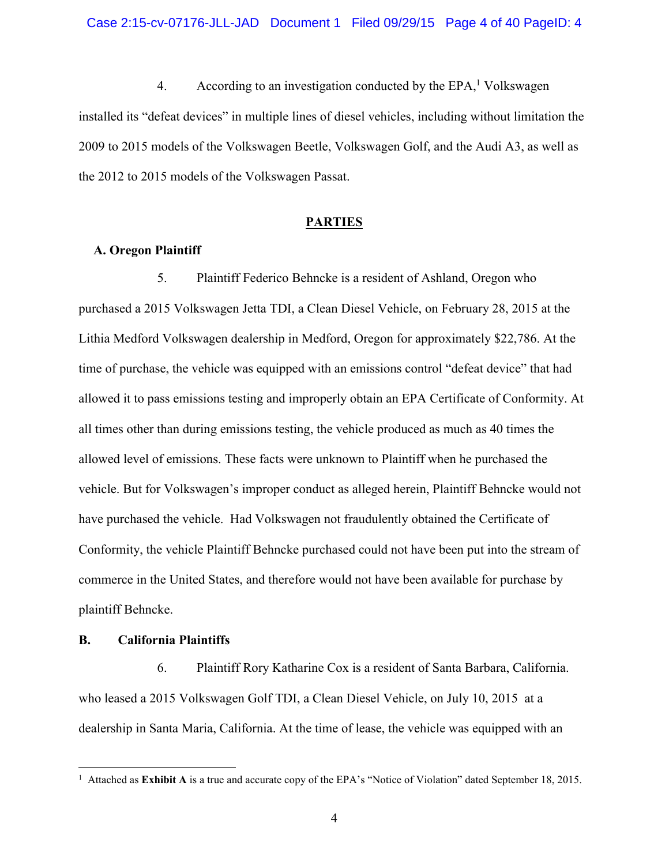4. According to an investigation conducted by the  $EPA<sub>1</sub><sup>1</sup>$  Volkswagen installed its "defeat devices" in multiple lines of diesel vehicles, including without limitation the 2009 to 2015 models of the Volkswagen Beetle, Volkswagen Golf, and the Audi A3, as well as the 2012 to 2015 models of the Volkswagen Passat.

## **PARTIES**

## **A. Oregon Plaintiff**

5. Plaintiff Federico Behncke is a resident of Ashland, Oregon who purchased a 2015 Volkswagen Jetta TDI, a Clean Diesel Vehicle, on February 28, 2015 at the Lithia Medford Volkswagen dealership in Medford, Oregon for approximately \$22,786. At the time of purchase, the vehicle was equipped with an emissions control "defeat device" that had allowed it to pass emissions testing and improperly obtain an EPA Certificate of Conformity. At all times other than during emissions testing, the vehicle produced as much as 40 times the allowed level of emissions. These facts were unknown to Plaintiff when he purchased the vehicle. But for Volkswagen's improper conduct as alleged herein, Plaintiff Behncke would not have purchased the vehicle. Had Volkswagen not fraudulently obtained the Certificate of Conformity, the vehicle Plaintiff Behncke purchased could not have been put into the stream of commerce in the United States, and therefore would not have been available for purchase by plaintiff Behncke.

### **B. California Plaintiffs**

 $\overline{a}$ 

6. Plaintiff Rory Katharine Cox is a resident of Santa Barbara, California. who leased a 2015 Volkswagen Golf TDI, a Clean Diesel Vehicle, on July 10, 2015 at a dealership in Santa Maria, California. At the time of lease, the vehicle was equipped with an

<sup>&</sup>lt;sup>1</sup> Attached as **Exhibit A** is a true and accurate copy of the EPA's "Notice of Violation" dated September 18, 2015.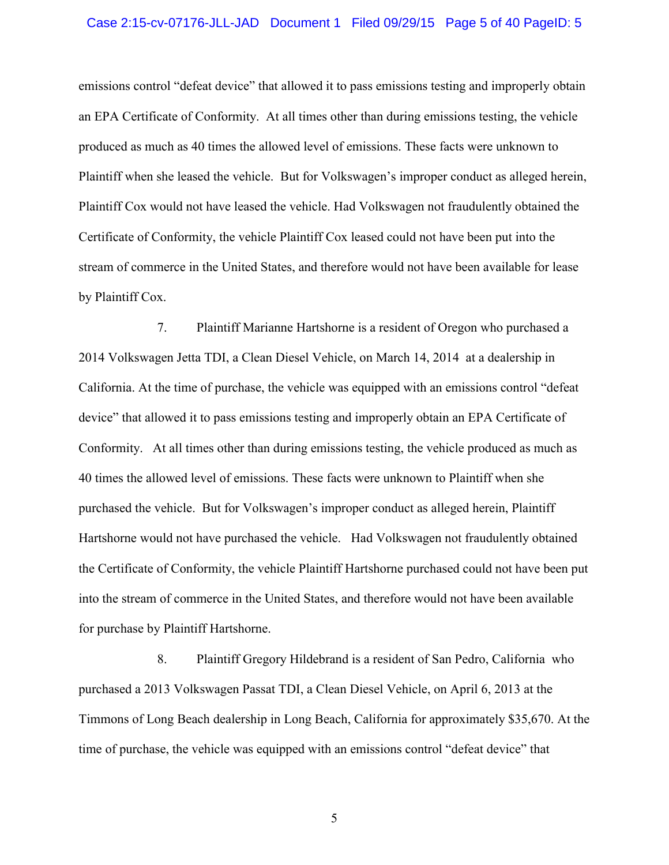#### Case 2:15-cv-07176-JLL-JAD Document 1 Filed 09/29/15 Page 5 of 40 PageID: 5

emissions control "defeat device" that allowed it to pass emissions testing and improperly obtain an EPA Certificate of Conformity. At all times other than during emissions testing, the vehicle produced as much as 40 times the allowed level of emissions. These facts were unknown to Plaintiff when she leased the vehicle. But for Volkswagen's improper conduct as alleged herein, Plaintiff Cox would not have leased the vehicle. Had Volkswagen not fraudulently obtained the Certificate of Conformity, the vehicle Plaintiff Cox leased could not have been put into the stream of commerce in the United States, and therefore would not have been available for lease by Plaintiff Cox.

7. Plaintiff Marianne Hartshorne is a resident of Oregon who purchased a 2014 Volkswagen Jetta TDI, a Clean Diesel Vehicle, on March 14, 2014 at a dealership in California. At the time of purchase, the vehicle was equipped with an emissions control "defeat device" that allowed it to pass emissions testing and improperly obtain an EPA Certificate of Conformity. At all times other than during emissions testing, the vehicle produced as much as 40 times the allowed level of emissions. These facts were unknown to Plaintiff when she purchased the vehicle. But for Volkswagen's improper conduct as alleged herein, Plaintiff Hartshorne would not have purchased the vehicle. Had Volkswagen not fraudulently obtained the Certificate of Conformity, the vehicle Plaintiff Hartshorne purchased could not have been put into the stream of commerce in the United States, and therefore would not have been available for purchase by Plaintiff Hartshorne.

8. Plaintiff Gregory Hildebrand is a resident of San Pedro, California who purchased a 2013 Volkswagen Passat TDI, a Clean Diesel Vehicle, on April 6, 2013 at the Timmons of Long Beach dealership in Long Beach, California for approximately \$35,670. At the time of purchase, the vehicle was equipped with an emissions control "defeat device" that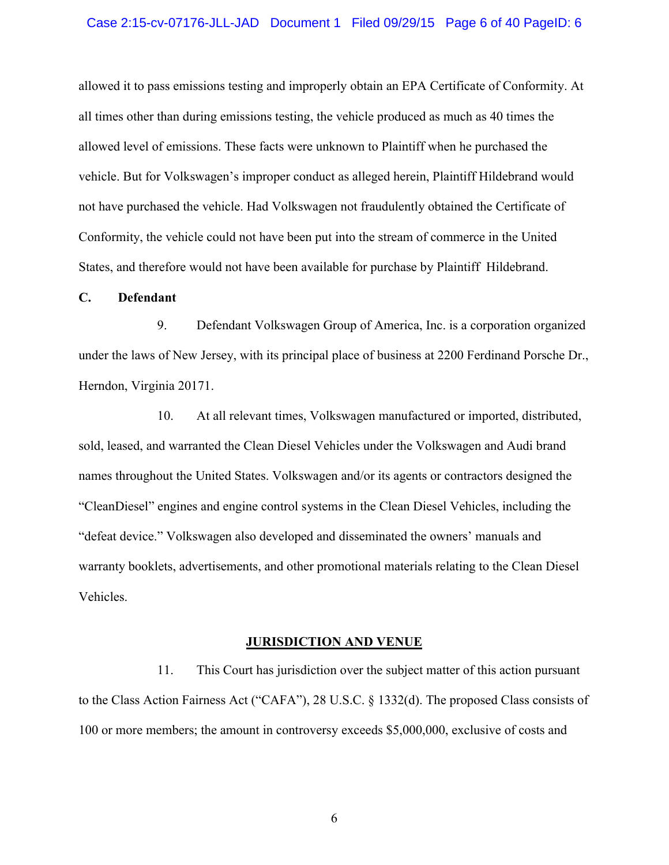#### Case 2:15-cv-07176-JLL-JAD Document 1 Filed 09/29/15 Page 6 of 40 PageID: 6

allowed it to pass emissions testing and improperly obtain an EPA Certificate of Conformity. At all times other than during emissions testing, the vehicle produced as much as 40 times the allowed level of emissions. These facts were unknown to Plaintiff when he purchased the vehicle. But for Volkswagen's improper conduct as alleged herein, Plaintiff Hildebrand would not have purchased the vehicle. Had Volkswagen not fraudulently obtained the Certificate of Conformity, the vehicle could not have been put into the stream of commerce in the United States, and therefore would not have been available for purchase by Plaintiff Hildebrand.

#### **C. Defendant**

9. Defendant Volkswagen Group of America, Inc. is a corporation organized under the laws of New Jersey, with its principal place of business at 2200 Ferdinand Porsche Dr., Herndon, Virginia 20171.

10. At all relevant times, Volkswagen manufactured or imported, distributed, sold, leased, and warranted the Clean Diesel Vehicles under the Volkswagen and Audi brand names throughout the United States. Volkswagen and/or its agents or contractors designed the "CleanDiesel" engines and engine control systems in the Clean Diesel Vehicles, including the "defeat device." Volkswagen also developed and disseminated the owners' manuals and warranty booklets, advertisements, and other promotional materials relating to the Clean Diesel Vehicles.

### **JURISDICTION AND VENUE**

11. This Court has jurisdiction over the subject matter of this action pursuant to the Class Action Fairness Act ("CAFA"), 28 U.S.C. § 1332(d). The proposed Class consists of 100 or more members; the amount in controversy exceeds \$5,000,000, exclusive of costs and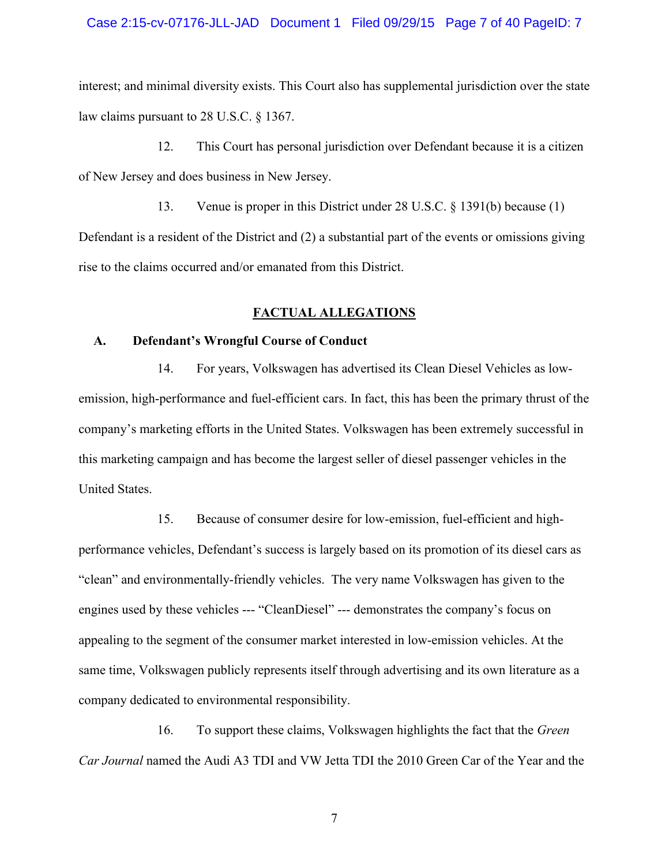### Case 2:15-cv-07176-JLL-JAD Document 1 Filed 09/29/15 Page 7 of 40 PageID: 7

interest; and minimal diversity exists. This Court also has supplemental jurisdiction over the state law claims pursuant to 28 U.S.C. § 1367.

12. This Court has personal jurisdiction over Defendant because it is a citizen of New Jersey and does business in New Jersey.

13. Venue is proper in this District under 28 U.S.C. § 1391(b) because (1) Defendant is a resident of the District and (2) a substantial part of the events or omissions giving rise to the claims occurred and/or emanated from this District.

## **FACTUAL ALLEGATIONS**

### **A. Defendant's Wrongful Course of Conduct**

14. For years, Volkswagen has advertised its Clean Diesel Vehicles as lowemission, high-performance and fuel-efficient cars. In fact, this has been the primary thrust of the company's marketing efforts in the United States. Volkswagen has been extremely successful in this marketing campaign and has become the largest seller of diesel passenger vehicles in the United States.

15. Because of consumer desire for low-emission, fuel-efficient and highperformance vehicles, Defendant's success is largely based on its promotion of its diesel cars as "clean" and environmentally-friendly vehicles. The very name Volkswagen has given to the engines used by these vehicles --- "CleanDiesel" --- demonstrates the company's focus on appealing to the segment of the consumer market interested in low-emission vehicles. At the same time, Volkswagen publicly represents itself through advertising and its own literature as a company dedicated to environmental responsibility.

16. To support these claims, Volkswagen highlights the fact that the *Green Car Journal* named the Audi A3 TDI and VW Jetta TDI the 2010 Green Car of the Year and the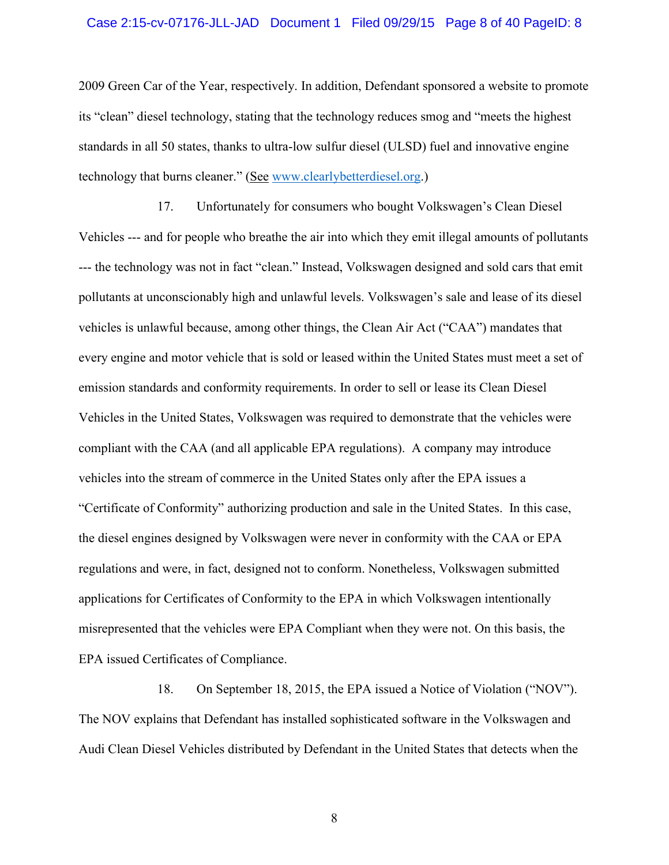#### Case 2:15-cv-07176-JLL-JAD Document 1 Filed 09/29/15 Page 8 of 40 PageID: 8

2009 Green Car of the Year, respectively. In addition, Defendant sponsored a website to promote its "clean" diesel technology, stating that the technology reduces smog and "meets the highest standards in all 50 states, thanks to ultra-low sulfur diesel (ULSD) fuel and innovative engine technology that burns cleaner." (See www.clearlybetterdiesel.org.)

17. Unfortunately for consumers who bought Volkswagen's Clean Diesel Vehicles --- and for people who breathe the air into which they emit illegal amounts of pollutants --- the technology was not in fact "clean." Instead, Volkswagen designed and sold cars that emit pollutants at unconscionably high and unlawful levels. Volkswagen's sale and lease of its diesel vehicles is unlawful because, among other things, the Clean Air Act ("CAA") mandates that every engine and motor vehicle that is sold or leased within the United States must meet a set of emission standards and conformity requirements. In order to sell or lease its Clean Diesel Vehicles in the United States, Volkswagen was required to demonstrate that the vehicles were compliant with the CAA (and all applicable EPA regulations). A company may introduce vehicles into the stream of commerce in the United States only after the EPA issues a "Certificate of Conformity" authorizing production and sale in the United States. In this case, the diesel engines designed by Volkswagen were never in conformity with the CAA or EPA regulations and were, in fact, designed not to conform. Nonetheless, Volkswagen submitted applications for Certificates of Conformity to the EPA in which Volkswagen intentionally misrepresented that the vehicles were EPA Compliant when they were not. On this basis, the EPA issued Certificates of Compliance.

18. On September 18, 2015, the EPA issued a Notice of Violation ("NOV"). The NOV explains that Defendant has installed sophisticated software in the Volkswagen and Audi Clean Diesel Vehicles distributed by Defendant in the United States that detects when the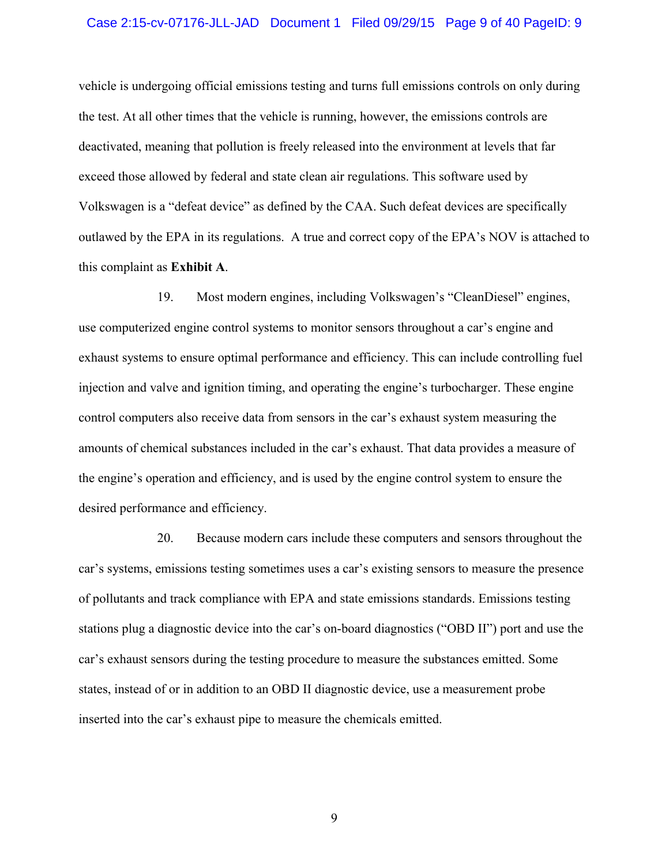### Case 2:15-cv-07176-JLL-JAD Document 1 Filed 09/29/15 Page 9 of 40 PageID: 9

vehicle is undergoing official emissions testing and turns full emissions controls on only during the test. At all other times that the vehicle is running, however, the emissions controls are deactivated, meaning that pollution is freely released into the environment at levels that far exceed those allowed by federal and state clean air regulations. This software used by Volkswagen is a "defeat device" as defined by the CAA. Such defeat devices are specifically outlawed by the EPA in its regulations. A true and correct copy of the EPA's NOV is attached to this complaint as **Exhibit A**.

19. Most modern engines, including Volkswagen's "CleanDiesel" engines, use computerized engine control systems to monitor sensors throughout a car's engine and exhaust systems to ensure optimal performance and efficiency. This can include controlling fuel injection and valve and ignition timing, and operating the engine's turbocharger. These engine control computers also receive data from sensors in the car's exhaust system measuring the amounts of chemical substances included in the car's exhaust. That data provides a measure of the engine's operation and efficiency, and is used by the engine control system to ensure the desired performance and efficiency.

20. Because modern cars include these computers and sensors throughout the car's systems, emissions testing sometimes uses a car's existing sensors to measure the presence of pollutants and track compliance with EPA and state emissions standards. Emissions testing stations plug a diagnostic device into the car's on-board diagnostics ("OBD II") port and use the car's exhaust sensors during the testing procedure to measure the substances emitted. Some states, instead of or in addition to an OBD II diagnostic device, use a measurement probe inserted into the car's exhaust pipe to measure the chemicals emitted.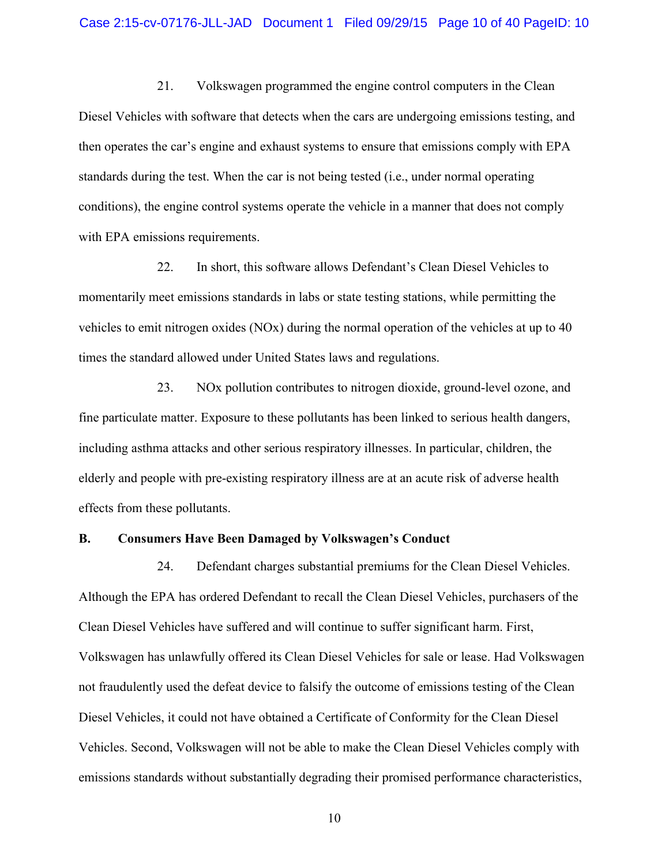21. Volkswagen programmed the engine control computers in the Clean Diesel Vehicles with software that detects when the cars are undergoing emissions testing, and then operates the car's engine and exhaust systems to ensure that emissions comply with EPA standards during the test. When the car is not being tested (i.e., under normal operating conditions), the engine control systems operate the vehicle in a manner that does not comply with EPA emissions requirements.

22. In short, this software allows Defendant's Clean Diesel Vehicles to momentarily meet emissions standards in labs or state testing stations, while permitting the vehicles to emit nitrogen oxides (NOx) during the normal operation of the vehicles at up to 40 times the standard allowed under United States laws and regulations.

23. NOx pollution contributes to nitrogen dioxide, ground-level ozone, and fine particulate matter. Exposure to these pollutants has been linked to serious health dangers, including asthma attacks and other serious respiratory illnesses. In particular, children, the elderly and people with pre-existing respiratory illness are at an acute risk of adverse health effects from these pollutants.

## **B. Consumers Have Been Damaged by Volkswagen's Conduct**

24. Defendant charges substantial premiums for the Clean Diesel Vehicles. Although the EPA has ordered Defendant to recall the Clean Diesel Vehicles, purchasers of the Clean Diesel Vehicles have suffered and will continue to suffer significant harm. First, Volkswagen has unlawfully offered its Clean Diesel Vehicles for sale or lease. Had Volkswagen not fraudulently used the defeat device to falsify the outcome of emissions testing of the Clean Diesel Vehicles, it could not have obtained a Certificate of Conformity for the Clean Diesel Vehicles. Second, Volkswagen will not be able to make the Clean Diesel Vehicles comply with emissions standards without substantially degrading their promised performance characteristics,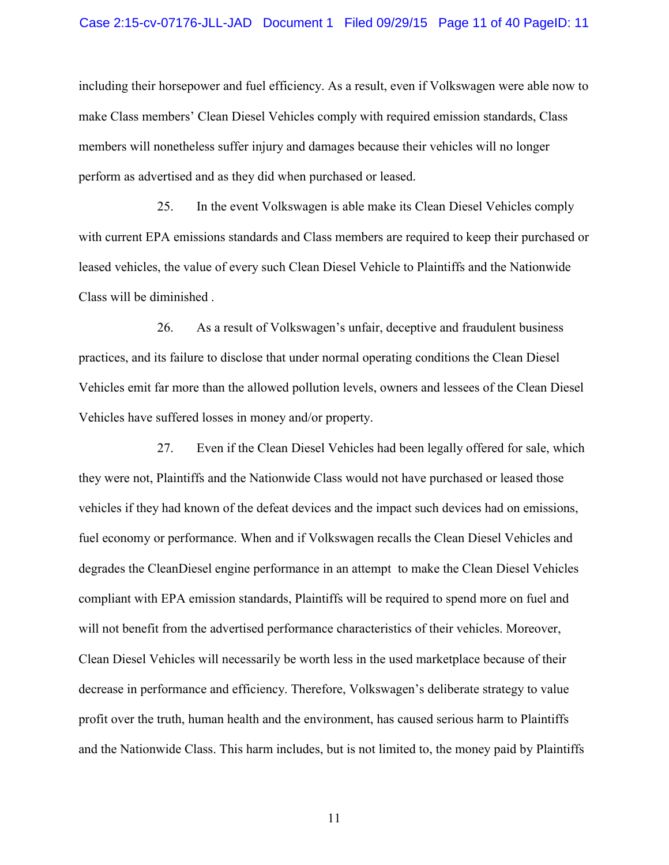### Case 2:15-cv-07176-JLL-JAD Document 1 Filed 09/29/15 Page 11 of 40 PageID: 11

including their horsepower and fuel efficiency. As a result, even if Volkswagen were able now to make Class members' Clean Diesel Vehicles comply with required emission standards, Class members will nonetheless suffer injury and damages because their vehicles will no longer perform as advertised and as they did when purchased or leased.

25. In the event Volkswagen is able make its Clean Diesel Vehicles comply with current EPA emissions standards and Class members are required to keep their purchased or leased vehicles, the value of every such Clean Diesel Vehicle to Plaintiffs and the Nationwide Class will be diminished .

26. As a result of Volkswagen's unfair, deceptive and fraudulent business practices, and its failure to disclose that under normal operating conditions the Clean Diesel Vehicles emit far more than the allowed pollution levels, owners and lessees of the Clean Diesel Vehicles have suffered losses in money and/or property.

27. Even if the Clean Diesel Vehicles had been legally offered for sale, which they were not, Plaintiffs and the Nationwide Class would not have purchased or leased those vehicles if they had known of the defeat devices and the impact such devices had on emissions, fuel economy or performance. When and if Volkswagen recalls the Clean Diesel Vehicles and degrades the CleanDiesel engine performance in an attempt to make the Clean Diesel Vehicles compliant with EPA emission standards, Plaintiffs will be required to spend more on fuel and will not benefit from the advertised performance characteristics of their vehicles. Moreover, Clean Diesel Vehicles will necessarily be worth less in the used marketplace because of their decrease in performance and efficiency. Therefore, Volkswagen's deliberate strategy to value profit over the truth, human health and the environment, has caused serious harm to Plaintiffs and the Nationwide Class. This harm includes, but is not limited to, the money paid by Plaintiffs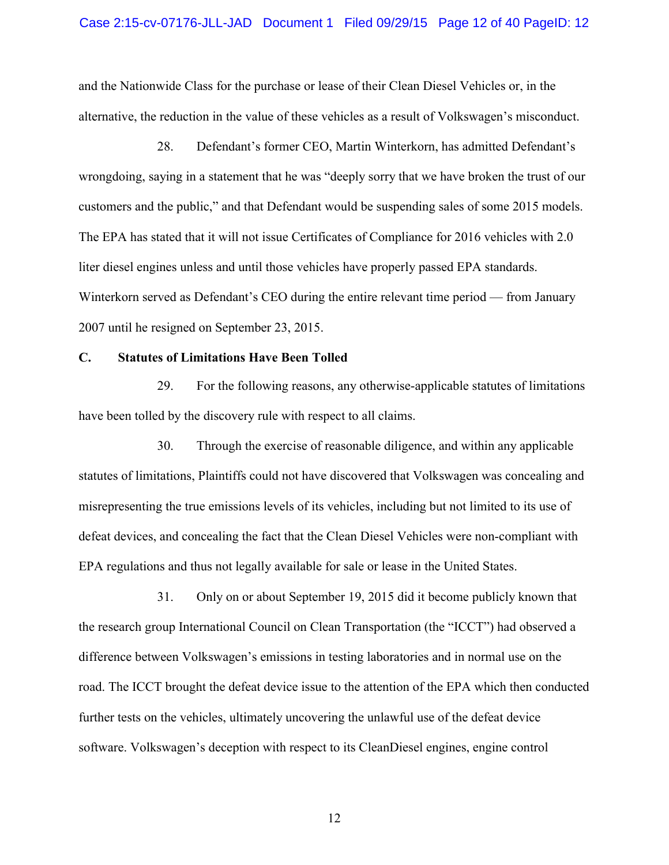#### Case 2:15-cv-07176-JLL-JAD Document 1 Filed 09/29/15 Page 12 of 40 PageID: 12

and the Nationwide Class for the purchase or lease of their Clean Diesel Vehicles or, in the alternative, the reduction in the value of these vehicles as a result of Volkswagen's misconduct.

28. Defendant's former CEO, Martin Winterkorn, has admitted Defendant's wrongdoing, saying in a statement that he was "deeply sorry that we have broken the trust of our customers and the public," and that Defendant would be suspending sales of some 2015 models. The EPA has stated that it will not issue Certificates of Compliance for 2016 vehicles with 2.0 liter diesel engines unless and until those vehicles have properly passed EPA standards. Winterkorn served as Defendant's CEO during the entire relevant time period — from January 2007 until he resigned on September 23, 2015.

## **C. Statutes of Limitations Have Been Tolled**

29. For the following reasons, any otherwise-applicable statutes of limitations have been tolled by the discovery rule with respect to all claims.

30. Through the exercise of reasonable diligence, and within any applicable statutes of limitations, Plaintiffs could not have discovered that Volkswagen was concealing and misrepresenting the true emissions levels of its vehicles, including but not limited to its use of defeat devices, and concealing the fact that the Clean Diesel Vehicles were non-compliant with EPA regulations and thus not legally available for sale or lease in the United States.

31. Only on or about September 19, 2015 did it become publicly known that the research group International Council on Clean Transportation (the "ICCT") had observed a difference between Volkswagen's emissions in testing laboratories and in normal use on the road. The ICCT brought the defeat device issue to the attention of the EPA which then conducted further tests on the vehicles, ultimately uncovering the unlawful use of the defeat device software. Volkswagen's deception with respect to its CleanDiesel engines, engine control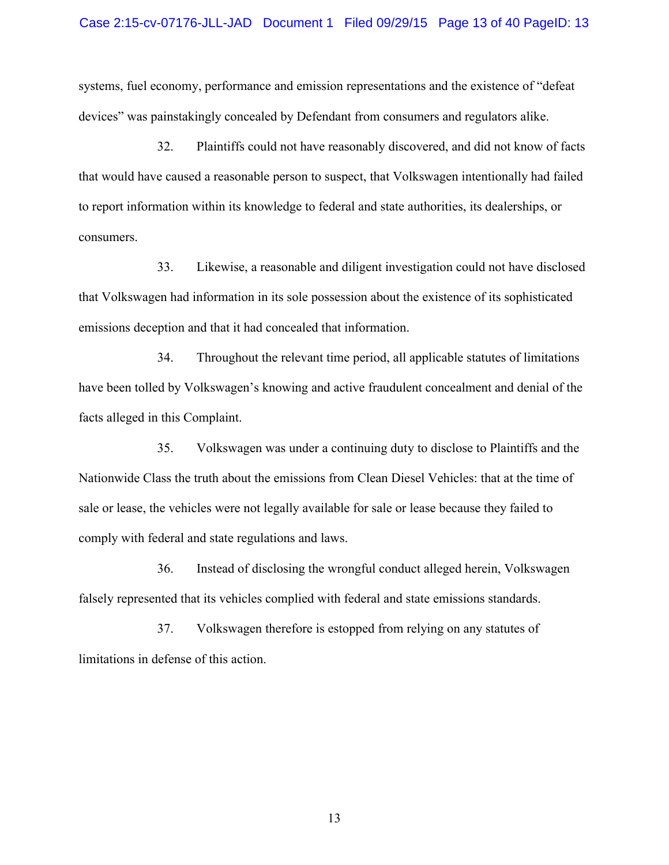### Case 2:15-cv-07176-JLL-JAD Document 1 Filed 09/29/15 Page 13 of 40 PageID: 13

systems, fuel economy, performance and emission representations and the existence of "defeat devices" was painstakingly concealed by Defendant from consumers and regulators alike.

32. Plaintiffs could not have reasonably discovered, and did not know of facts that would have caused a reasonable person to suspect, that Volkswagen intentionally had failed to report information within its knowledge to federal and state authorities, its dealerships, or consumers.

33. Likewise, a reasonable and diligent investigation could not have disclosed that Volkswagen had information in its sole possession about the existence of its sophisticated emissions deception and that it had concealed that information.

34. Throughout the relevant time period, all applicable statutes of limitations have been tolled by Volkswagen's knowing and active fraudulent concealment and denial of the facts alleged in this Complaint.

35. Volkswagen was under a continuing duty to disclose to Plaintiffs and the Nationwide Class the truth about the emissions from Clean Diesel Vehicles: that at the time of sale or lease, the vehicles were not legally available for sale or lease because they failed to comply with federal and state regulations and laws.

36. Instead of disclosing the wrongful conduct alleged herein, Volkswagen falsely represented that its vehicles complied with federal and state emissions standards.

37. Volkswagen therefore is estopped from relying on any statutes of limitations in defense of this action.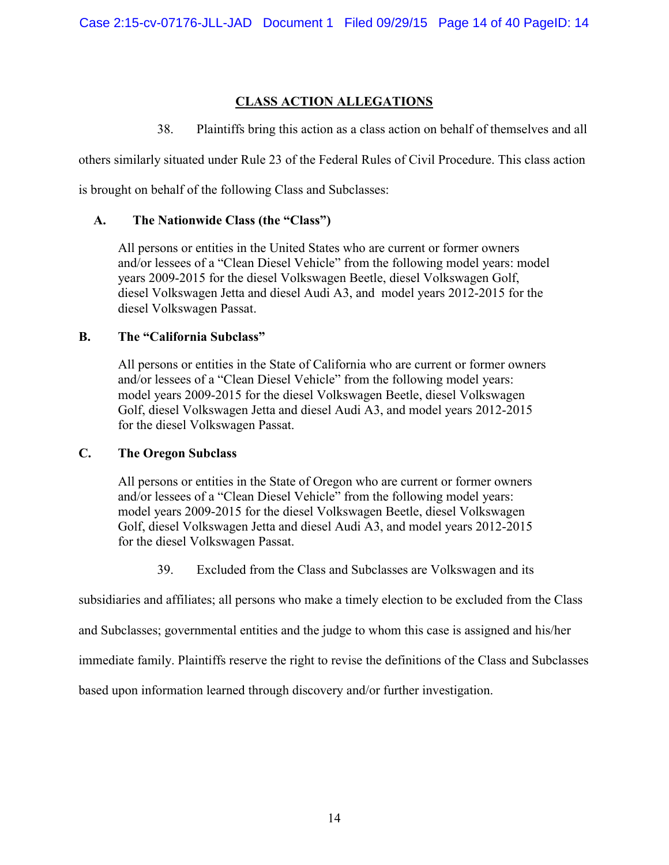# **CLASS ACTION ALLEGATIONS**

38. Plaintiffs bring this action as a class action on behalf of themselves and all

others similarly situated under Rule 23 of the Federal Rules of Civil Procedure. This class action

is brought on behalf of the following Class and Subclasses:

## **A. The Nationwide Class (the "Class")**

All persons or entities in the United States who are current or former owners and/or lessees of a "Clean Diesel Vehicle" from the following model years: model years 2009-2015 for the diesel Volkswagen Beetle, diesel Volkswagen Golf, diesel Volkswagen Jetta and diesel Audi A3, and model years 2012-2015 for the diesel Volkswagen Passat.

## **B. The "California Subclass"**

All persons or entities in the State of California who are current or former owners and/or lessees of a "Clean Diesel Vehicle" from the following model years: model years 2009-2015 for the diesel Volkswagen Beetle, diesel Volkswagen Golf, diesel Volkswagen Jetta and diesel Audi A3, and model years 2012-2015 for the diesel Volkswagen Passat.

## **C. The Oregon Subclass**

All persons or entities in the State of Oregon who are current or former owners and/or lessees of a "Clean Diesel Vehicle" from the following model years: model years 2009-2015 for the diesel Volkswagen Beetle, diesel Volkswagen Golf, diesel Volkswagen Jetta and diesel Audi A3, and model years 2012-2015 for the diesel Volkswagen Passat.

39. Excluded from the Class and Subclasses are Volkswagen and its

subsidiaries and affiliates; all persons who make a timely election to be excluded from the Class

and Subclasses; governmental entities and the judge to whom this case is assigned and his/her

immediate family. Plaintiffs reserve the right to revise the definitions of the Class and Subclasses

based upon information learned through discovery and/or further investigation.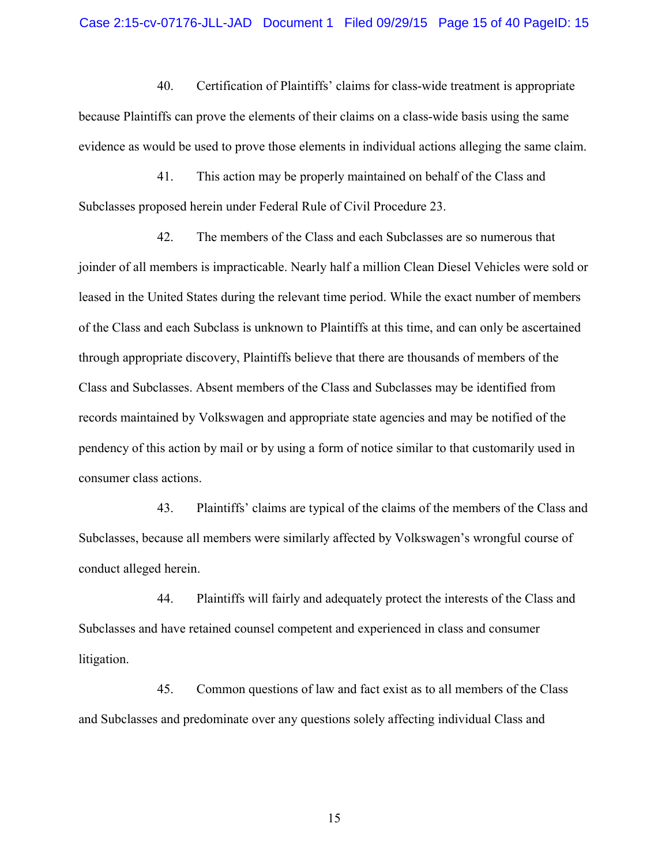40. Certification of Plaintiffs' claims for class-wide treatment is appropriate because Plaintiffs can prove the elements of their claims on a class-wide basis using the same evidence as would be used to prove those elements in individual actions alleging the same claim.

41. This action may be properly maintained on behalf of the Class and Subclasses proposed herein under Federal Rule of Civil Procedure 23.

42. The members of the Class and each Subclasses are so numerous that joinder of all members is impracticable. Nearly half a million Clean Diesel Vehicles were sold or leased in the United States during the relevant time period. While the exact number of members of the Class and each Subclass is unknown to Plaintiffs at this time, and can only be ascertained through appropriate discovery, Plaintiffs believe that there are thousands of members of the Class and Subclasses. Absent members of the Class and Subclasses may be identified from records maintained by Volkswagen and appropriate state agencies and may be notified of the pendency of this action by mail or by using a form of notice similar to that customarily used in consumer class actions.

43. Plaintiffs' claims are typical of the claims of the members of the Class and Subclasses, because all members were similarly affected by Volkswagen's wrongful course of conduct alleged herein.

44. Plaintiffs will fairly and adequately protect the interests of the Class and Subclasses and have retained counsel competent and experienced in class and consumer litigation.

45. Common questions of law and fact exist as to all members of the Class and Subclasses and predominate over any questions solely affecting individual Class and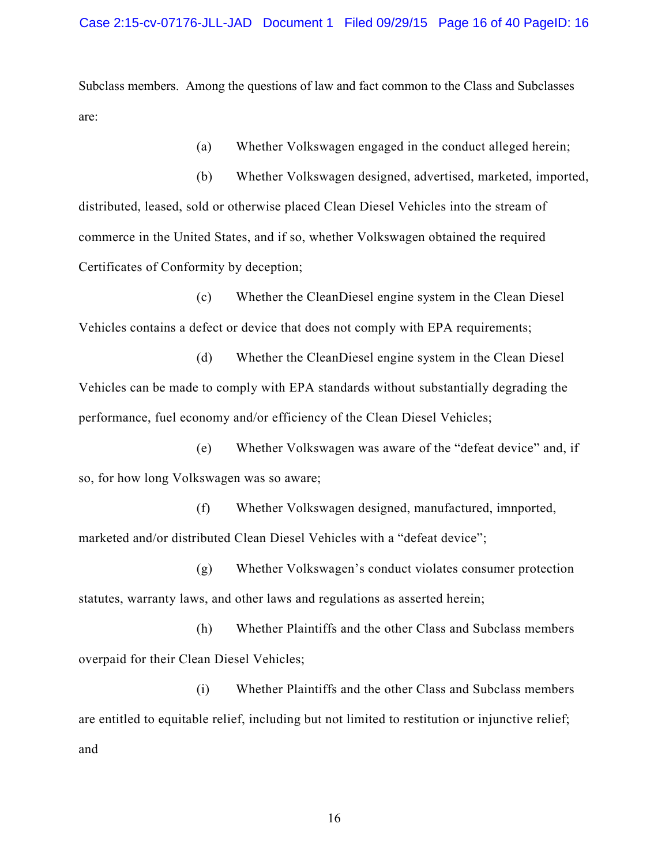Subclass members. Among the questions of law and fact common to the Class and Subclasses are:

(a) Whether Volkswagen engaged in the conduct alleged herein;

(b) Whether Volkswagen designed, advertised, marketed, imported, distributed, leased, sold or otherwise placed Clean Diesel Vehicles into the stream of commerce in the United States, and if so, whether Volkswagen obtained the required Certificates of Conformity by deception;

(c) Whether the CleanDiesel engine system in the Clean Diesel Vehicles contains a defect or device that does not comply with EPA requirements;

(d) Whether the CleanDiesel engine system in the Clean Diesel Vehicles can be made to comply with EPA standards without substantially degrading the performance, fuel economy and/or efficiency of the Clean Diesel Vehicles;

(e) Whether Volkswagen was aware of the "defeat device" and, if so, for how long Volkswagen was so aware;

(f) Whether Volkswagen designed, manufactured, imnported, marketed and/or distributed Clean Diesel Vehicles with a "defeat device";

(g) Whether Volkswagen's conduct violates consumer protection statutes, warranty laws, and other laws and regulations as asserted herein;

(h) Whether Plaintiffs and the other Class and Subclass members overpaid for their Clean Diesel Vehicles;

(i) Whether Plaintiffs and the other Class and Subclass members are entitled to equitable relief, including but not limited to restitution or injunctive relief; and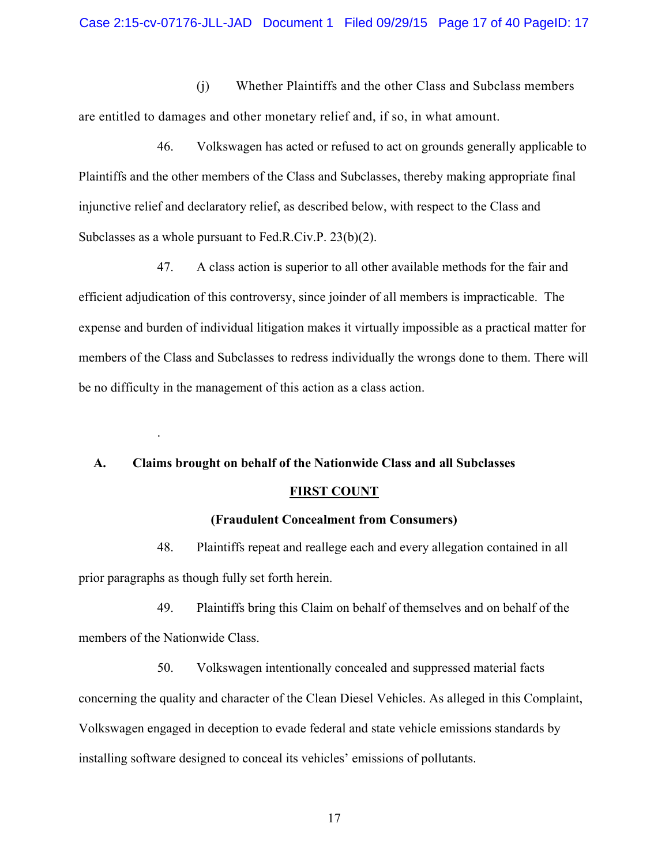(j) Whether Plaintiffs and the other Class and Subclass members are entitled to damages and other monetary relief and, if so, in what amount.

46. Volkswagen has acted or refused to act on grounds generally applicable to Plaintiffs and the other members of the Class and Subclasses, thereby making appropriate final injunctive relief and declaratory relief, as described below, with respect to the Class and Subclasses as a whole pursuant to Fed.R.Civ.P. 23(b)(2).

47. A class action is superior to all other available methods for the fair and efficient adjudication of this controversy, since joinder of all members is impracticable. The expense and burden of individual litigation makes it virtually impossible as a practical matter for members of the Class and Subclasses to redress individually the wrongs done to them. There will be no difficulty in the management of this action as a class action.

## **A. Claims brought on behalf of the Nationwide Class and all Subclasses**

.

### **FIRST COUNT**

### **(Fraudulent Concealment from Consumers)**

48. Plaintiffs repeat and reallege each and every allegation contained in all prior paragraphs as though fully set forth herein.

49. Plaintiffs bring this Claim on behalf of themselves and on behalf of the members of the Nationwide Class.

50. Volkswagen intentionally concealed and suppressed material facts concerning the quality and character of the Clean Diesel Vehicles. As alleged in this Complaint, Volkswagen engaged in deception to evade federal and state vehicle emissions standards by installing software designed to conceal its vehicles' emissions of pollutants.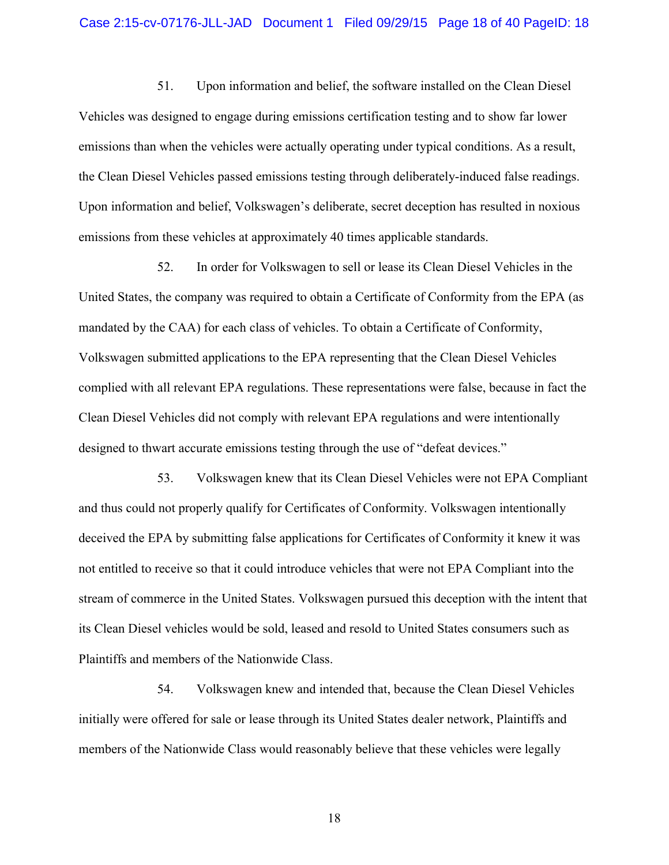#### Case 2:15-cv-07176-JLL-JAD Document 1 Filed 09/29/15 Page 18 of 40 PageID: 18

51. Upon information and belief, the software installed on the Clean Diesel Vehicles was designed to engage during emissions certification testing and to show far lower emissions than when the vehicles were actually operating under typical conditions. As a result, the Clean Diesel Vehicles passed emissions testing through deliberately-induced false readings. Upon information and belief, Volkswagen's deliberate, secret deception has resulted in noxious emissions from these vehicles at approximately 40 times applicable standards.

52. In order for Volkswagen to sell or lease its Clean Diesel Vehicles in the United States, the company was required to obtain a Certificate of Conformity from the EPA (as mandated by the CAA) for each class of vehicles. To obtain a Certificate of Conformity, Volkswagen submitted applications to the EPA representing that the Clean Diesel Vehicles complied with all relevant EPA regulations. These representations were false, because in fact the Clean Diesel Vehicles did not comply with relevant EPA regulations and were intentionally designed to thwart accurate emissions testing through the use of "defeat devices."

53. Volkswagen knew that its Clean Diesel Vehicles were not EPA Compliant and thus could not properly qualify for Certificates of Conformity. Volkswagen intentionally deceived the EPA by submitting false applications for Certificates of Conformity it knew it was not entitled to receive so that it could introduce vehicles that were not EPA Compliant into the stream of commerce in the United States. Volkswagen pursued this deception with the intent that its Clean Diesel vehicles would be sold, leased and resold to United States consumers such as Plaintiffs and members of the Nationwide Class.

54. Volkswagen knew and intended that, because the Clean Diesel Vehicles initially were offered for sale or lease through its United States dealer network, Plaintiffs and members of the Nationwide Class would reasonably believe that these vehicles were legally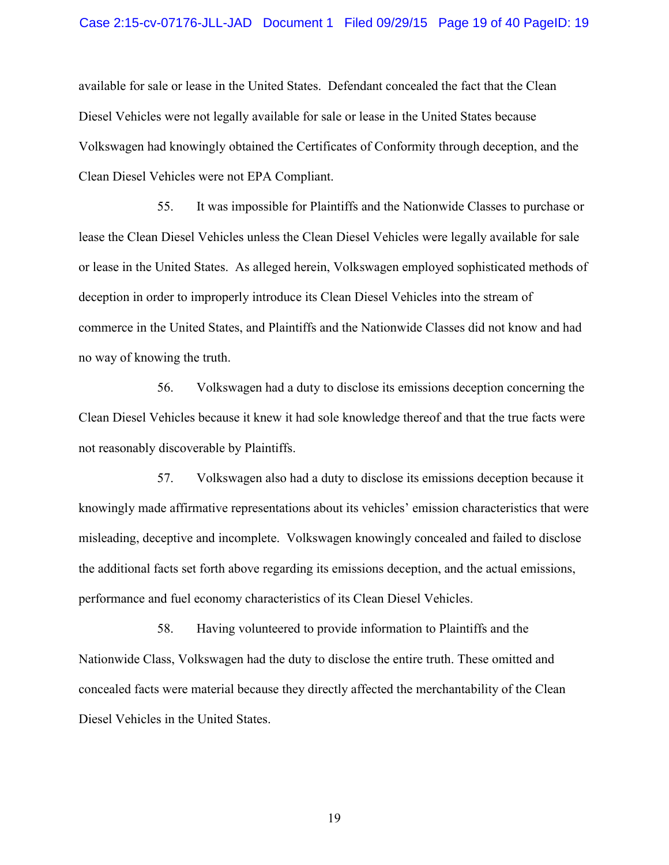#### Case 2:15-cv-07176-JLL-JAD Document 1 Filed 09/29/15 Page 19 of 40 PageID: 19

available for sale or lease in the United States. Defendant concealed the fact that the Clean Diesel Vehicles were not legally available for sale or lease in the United States because Volkswagen had knowingly obtained the Certificates of Conformity through deception, and the Clean Diesel Vehicles were not EPA Compliant.

55. It was impossible for Plaintiffs and the Nationwide Classes to purchase or lease the Clean Diesel Vehicles unless the Clean Diesel Vehicles were legally available for sale or lease in the United States. As alleged herein, Volkswagen employed sophisticated methods of deception in order to improperly introduce its Clean Diesel Vehicles into the stream of commerce in the United States, and Plaintiffs and the Nationwide Classes did not know and had no way of knowing the truth.

56. Volkswagen had a duty to disclose its emissions deception concerning the Clean Diesel Vehicles because it knew it had sole knowledge thereof and that the true facts were not reasonably discoverable by Plaintiffs.

57. Volkswagen also had a duty to disclose its emissions deception because it knowingly made affirmative representations about its vehicles' emission characteristics that were misleading, deceptive and incomplete. Volkswagen knowingly concealed and failed to disclose the additional facts set forth above regarding its emissions deception, and the actual emissions, performance and fuel economy characteristics of its Clean Diesel Vehicles.

58. Having volunteered to provide information to Plaintiffs and the Nationwide Class, Volkswagen had the duty to disclose the entire truth. These omitted and concealed facts were material because they directly affected the merchantability of the Clean Diesel Vehicles in the United States.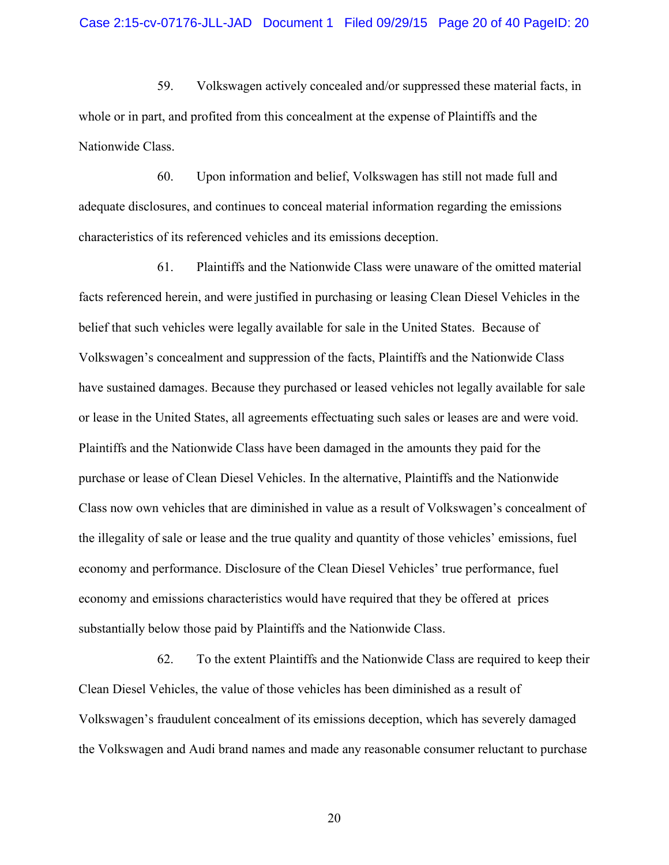59. Volkswagen actively concealed and/or suppressed these material facts, in whole or in part, and profited from this concealment at the expense of Plaintiffs and the Nationwide Class.

60. Upon information and belief, Volkswagen has still not made full and adequate disclosures, and continues to conceal material information regarding the emissions characteristics of its referenced vehicles and its emissions deception.

61. Plaintiffs and the Nationwide Class were unaware of the omitted material facts referenced herein, and were justified in purchasing or leasing Clean Diesel Vehicles in the belief that such vehicles were legally available for sale in the United States. Because of Volkswagen's concealment and suppression of the facts, Plaintiffs and the Nationwide Class have sustained damages. Because they purchased or leased vehicles not legally available for sale or lease in the United States, all agreements effectuating such sales or leases are and were void. Plaintiffs and the Nationwide Class have been damaged in the amounts they paid for the purchase or lease of Clean Diesel Vehicles. In the alternative, Plaintiffs and the Nationwide Class now own vehicles that are diminished in value as a result of Volkswagen's concealment of the illegality of sale or lease and the true quality and quantity of those vehicles' emissions, fuel economy and performance. Disclosure of the Clean Diesel Vehicles' true performance, fuel economy and emissions characteristics would have required that they be offered at prices substantially below those paid by Plaintiffs and the Nationwide Class.

62. To the extent Plaintiffs and the Nationwide Class are required to keep their Clean Diesel Vehicles, the value of those vehicles has been diminished as a result of Volkswagen's fraudulent concealment of its emissions deception, which has severely damaged the Volkswagen and Audi brand names and made any reasonable consumer reluctant to purchase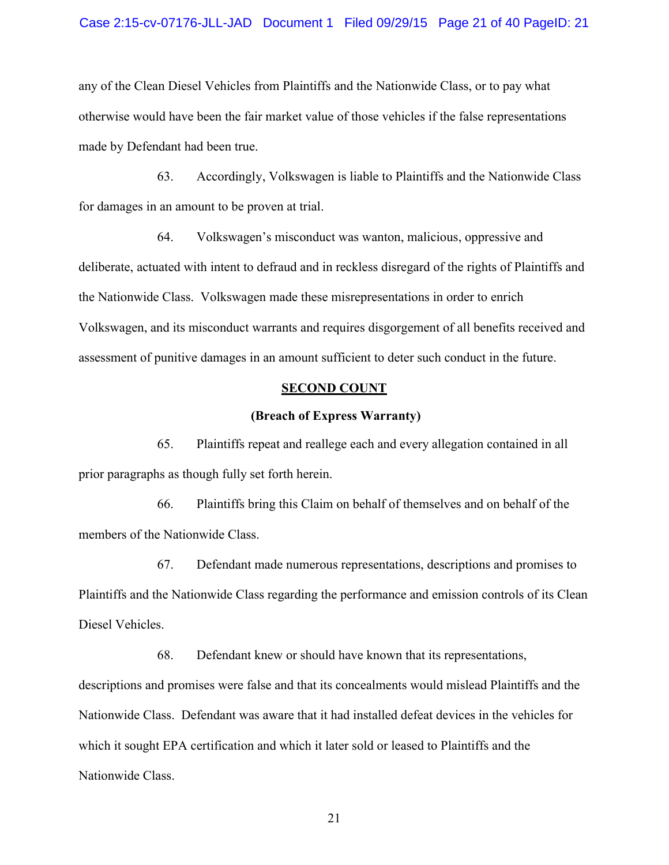### Case 2:15-cv-07176-JLL-JAD Document 1 Filed 09/29/15 Page 21 of 40 PageID: 21

any of the Clean Diesel Vehicles from Plaintiffs and the Nationwide Class, or to pay what otherwise would have been the fair market value of those vehicles if the false representations made by Defendant had been true.

63. Accordingly, Volkswagen is liable to Plaintiffs and the Nationwide Class for damages in an amount to be proven at trial.

64. Volkswagen's misconduct was wanton, malicious, oppressive and deliberate, actuated with intent to defraud and in reckless disregard of the rights of Plaintiffs and the Nationwide Class. Volkswagen made these misrepresentations in order to enrich Volkswagen, and its misconduct warrants and requires disgorgement of all benefits received and assessment of punitive damages in an amount sufficient to deter such conduct in the future.

## **SECOND COUNT**

### **(Breach of Express Warranty)**

65. Plaintiffs repeat and reallege each and every allegation contained in all prior paragraphs as though fully set forth herein.

66. Plaintiffs bring this Claim on behalf of themselves and on behalf of the members of the Nationwide Class.

67. Defendant made numerous representations, descriptions and promises to Plaintiffs and the Nationwide Class regarding the performance and emission controls of its Clean Diesel Vehicles.

68. Defendant knew or should have known that its representations, descriptions and promises were false and that its concealments would mislead Plaintiffs and the Nationwide Class. Defendant was aware that it had installed defeat devices in the vehicles for which it sought EPA certification and which it later sold or leased to Plaintiffs and the Nationwide Class.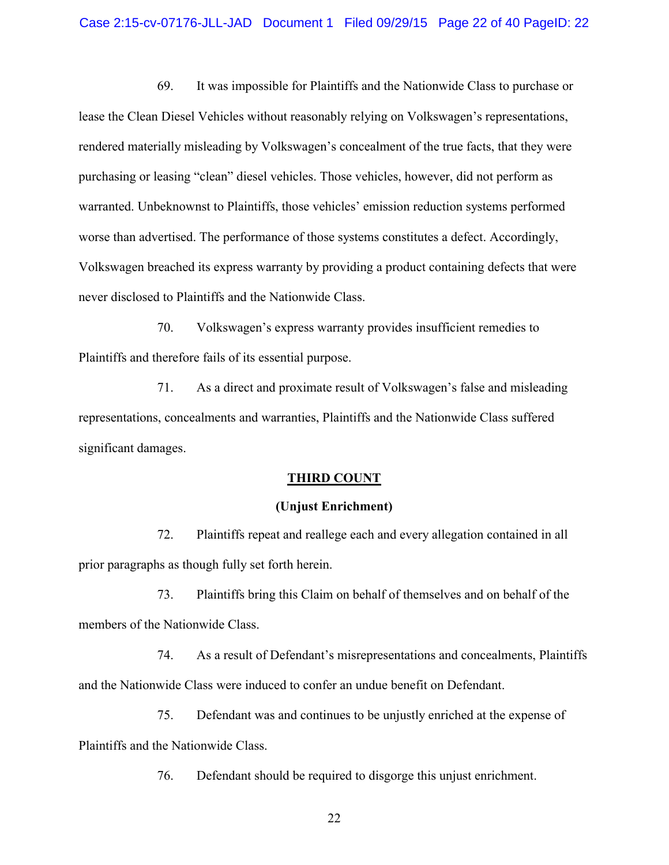### Case 2:15-cv-07176-JLL-JAD Document 1 Filed 09/29/15 Page 22 of 40 PageID: 22

69. It was impossible for Plaintiffs and the Nationwide Class to purchase or lease the Clean Diesel Vehicles without reasonably relying on Volkswagen's representations, rendered materially misleading by Volkswagen's concealment of the true facts, that they were purchasing or leasing "clean" diesel vehicles. Those vehicles, however, did not perform as warranted. Unbeknownst to Plaintiffs, those vehicles' emission reduction systems performed worse than advertised. The performance of those systems constitutes a defect. Accordingly, Volkswagen breached its express warranty by providing a product containing defects that were never disclosed to Plaintiffs and the Nationwide Class.

70. Volkswagen's express warranty provides insufficient remedies to Plaintiffs and therefore fails of its essential purpose.

71. As a direct and proximate result of Volkswagen's false and misleading representations, concealments and warranties, Plaintiffs and the Nationwide Class suffered significant damages.

### **THIRD COUNT**

### **(Unjust Enrichment)**

72. Plaintiffs repeat and reallege each and every allegation contained in all prior paragraphs as though fully set forth herein.

73. Plaintiffs bring this Claim on behalf of themselves and on behalf of the members of the Nationwide Class.

74. As a result of Defendant's misrepresentations and concealments, Plaintiffs and the Nationwide Class were induced to confer an undue benefit on Defendant.

75. Defendant was and continues to be unjustly enriched at the expense of Plaintiffs and the Nationwide Class.

76. Defendant should be required to disgorge this unjust enrichment.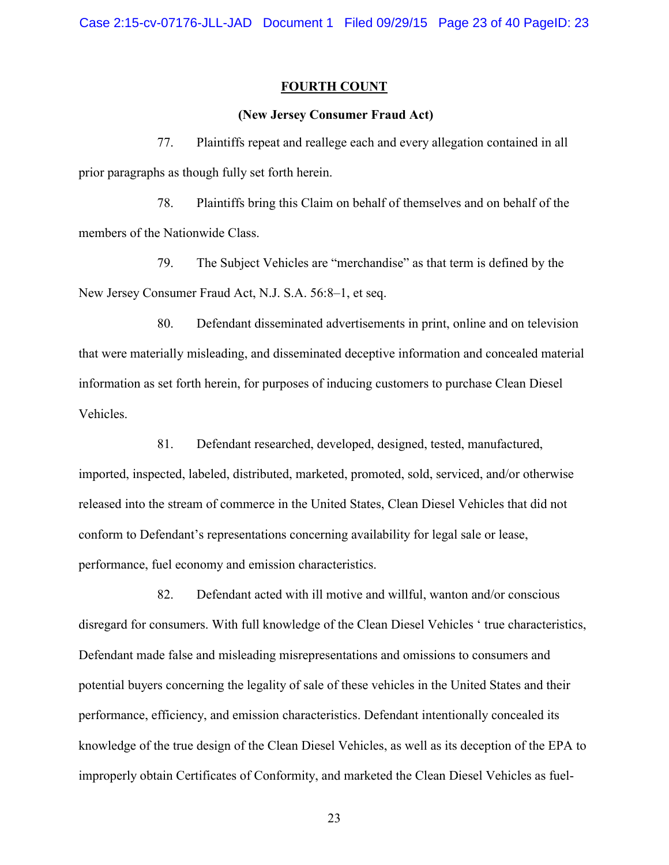### **FOURTH COUNT**

## **(New Jersey Consumer Fraud Act)**

77. Plaintiffs repeat and reallege each and every allegation contained in all prior paragraphs as though fully set forth herein.

78. Plaintiffs bring this Claim on behalf of themselves and on behalf of the members of the Nationwide Class.

79. The Subject Vehicles are "merchandise" as that term is defined by the New Jersey Consumer Fraud Act, N.J. S.A. 56:8–1, et seq.

80. Defendant disseminated advertisements in print, online and on television that were materially misleading, and disseminated deceptive information and concealed material information as set forth herein, for purposes of inducing customers to purchase Clean Diesel Vehicles.

81. Defendant researched, developed, designed, tested, manufactured, imported, inspected, labeled, distributed, marketed, promoted, sold, serviced, and/or otherwise released into the stream of commerce in the United States, Clean Diesel Vehicles that did not conform to Defendant's representations concerning availability for legal sale or lease, performance, fuel economy and emission characteristics.

82. Defendant acted with ill motive and willful, wanton and/or conscious disregard for consumers. With full knowledge of the Clean Diesel Vehicles ' true characteristics, Defendant made false and misleading misrepresentations and omissions to consumers and potential buyers concerning the legality of sale of these vehicles in the United States and their performance, efficiency, and emission characteristics. Defendant intentionally concealed its knowledge of the true design of the Clean Diesel Vehicles, as well as its deception of the EPA to improperly obtain Certificates of Conformity, and marketed the Clean Diesel Vehicles as fuel-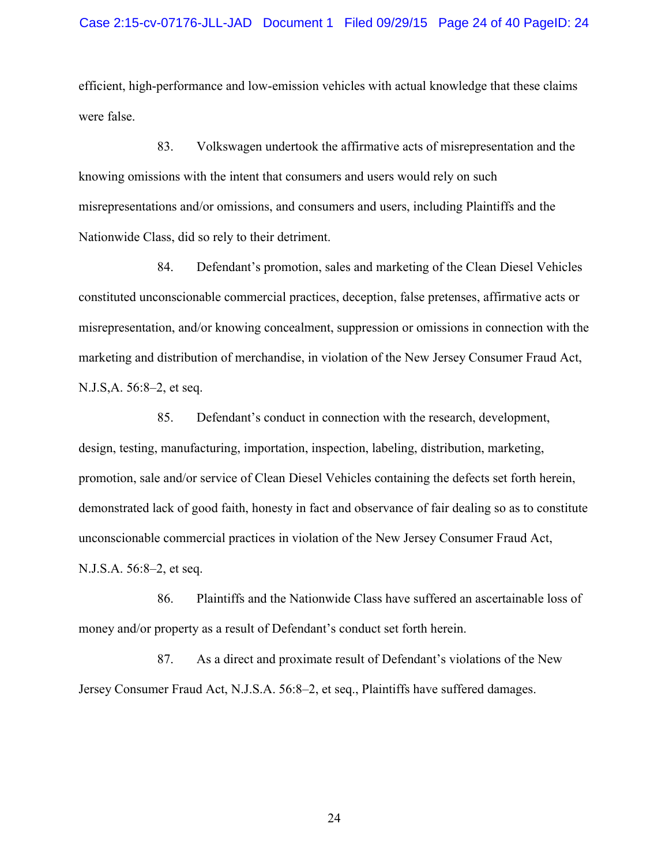#### Case 2:15-cv-07176-JLL-JAD Document 1 Filed 09/29/15 Page 24 of 40 PageID: 24

efficient, high-performance and low-emission vehicles with actual knowledge that these claims were false.

83. Volkswagen undertook the affirmative acts of misrepresentation and the knowing omissions with the intent that consumers and users would rely on such misrepresentations and/or omissions, and consumers and users, including Plaintiffs and the Nationwide Class, did so rely to their detriment.

84. Defendant's promotion, sales and marketing of the Clean Diesel Vehicles constituted unconscionable commercial practices, deception, false pretenses, affirmative acts or misrepresentation, and/or knowing concealment, suppression or omissions in connection with the marketing and distribution of merchandise, in violation of the New Jersey Consumer Fraud Act, N.J.S,A. 56:8–2, et seq.

85. Defendant's conduct in connection with the research, development, design, testing, manufacturing, importation, inspection, labeling, distribution, marketing, promotion, sale and/or service of Clean Diesel Vehicles containing the defects set forth herein, demonstrated lack of good faith, honesty in fact and observance of fair dealing so as to constitute unconscionable commercial practices in violation of the New Jersey Consumer Fraud Act, N.J.S.A. 56:8–2, et seq.

86. Plaintiffs and the Nationwide Class have suffered an ascertainable loss of money and/or property as a result of Defendant's conduct set forth herein.

87. As a direct and proximate result of Defendant's violations of the New Jersey Consumer Fraud Act, N.J.S.A. 56:8–2, et seq., Plaintiffs have suffered damages.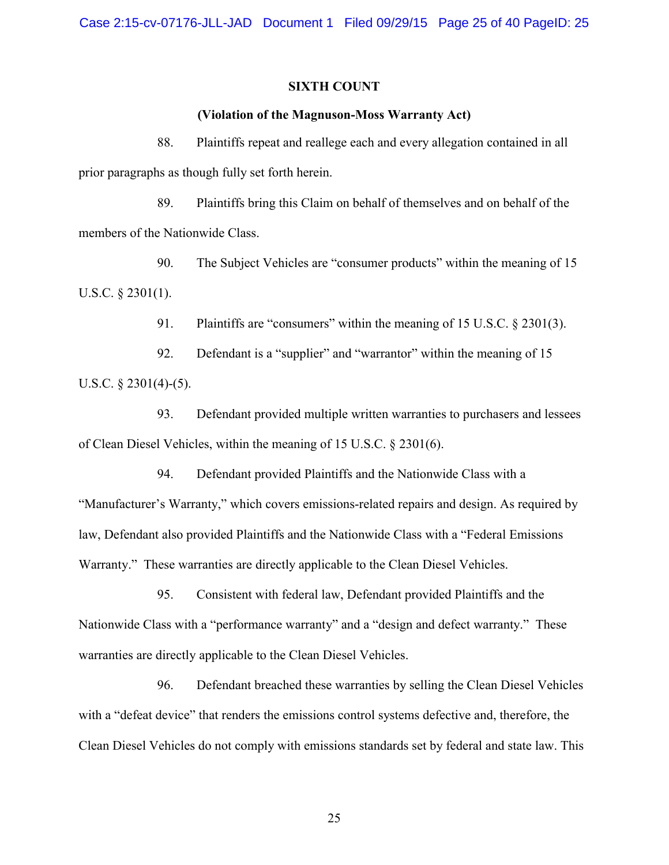## **SIXTH COUNT**

#### **(Violation of the Magnuson-Moss Warranty Act)**

88. Plaintiffs repeat and reallege each and every allegation contained in all prior paragraphs as though fully set forth herein.

89. Plaintiffs bring this Claim on behalf of themselves and on behalf of the members of the Nationwide Class.

90. The Subject Vehicles are "consumer products" within the meaning of 15 U.S.C. § 2301(1).

91. Plaintiffs are "consumers" within the meaning of 15 U.S.C. § 2301(3).

92. Defendant is a "supplier" and "warrantor" within the meaning of 15 U.S.C. § 2301(4)-(5).

93. Defendant provided multiple written warranties to purchasers and lessees of Clean Diesel Vehicles, within the meaning of 15 U.S.C. § 2301(6).

94. Defendant provided Plaintiffs and the Nationwide Class with a "Manufacturer's Warranty," which covers emissions-related repairs and design. As required by law, Defendant also provided Plaintiffs and the Nationwide Class with a "Federal Emissions Warranty." These warranties are directly applicable to the Clean Diesel Vehicles.

95. Consistent with federal law, Defendant provided Plaintiffs and the Nationwide Class with a "performance warranty" and a "design and defect warranty." These warranties are directly applicable to the Clean Diesel Vehicles.

96. Defendant breached these warranties by selling the Clean Diesel Vehicles with a "defeat device" that renders the emissions control systems defective and, therefore, the Clean Diesel Vehicles do not comply with emissions standards set by federal and state law. This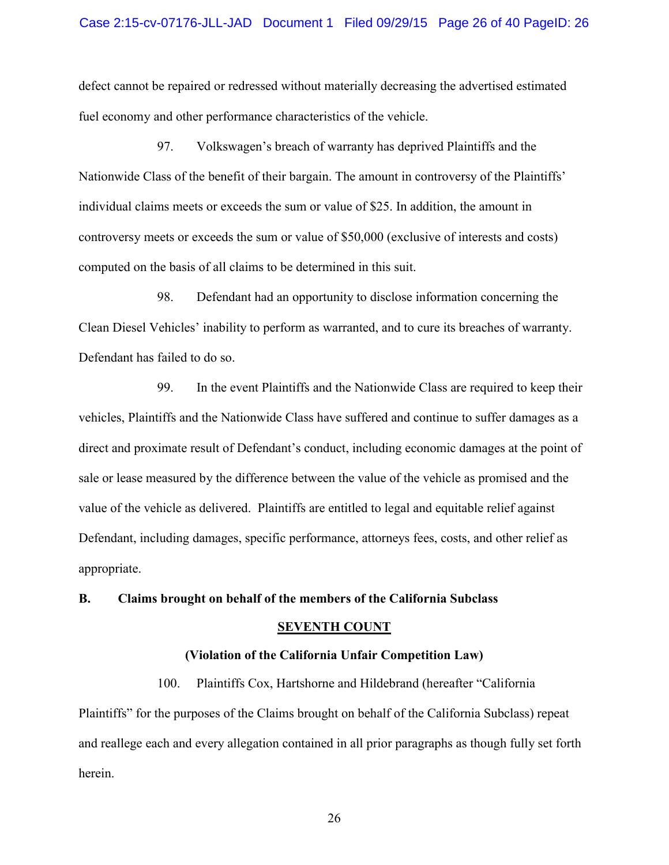### Case 2:15-cv-07176-JLL-JAD Document 1 Filed 09/29/15 Page 26 of 40 PageID: 26

defect cannot be repaired or redressed without materially decreasing the advertised estimated fuel economy and other performance characteristics of the vehicle.

97. Volkswagen's breach of warranty has deprived Plaintiffs and the Nationwide Class of the benefit of their bargain. The amount in controversy of the Plaintiffs' individual claims meets or exceeds the sum or value of \$25. In addition, the amount in controversy meets or exceeds the sum or value of \$50,000 (exclusive of interests and costs) computed on the basis of all claims to be determined in this suit.

98. Defendant had an opportunity to disclose information concerning the Clean Diesel Vehicles' inability to perform as warranted, and to cure its breaches of warranty. Defendant has failed to do so.

99. In the event Plaintiffs and the Nationwide Class are required to keep their vehicles, Plaintiffs and the Nationwide Class have suffered and continue to suffer damages as a direct and proximate result of Defendant's conduct, including economic damages at the point of sale or lease measured by the difference between the value of the vehicle as promised and the value of the vehicle as delivered. Plaintiffs are entitled to legal and equitable relief against Defendant, including damages, specific performance, attorneys fees, costs, and other relief as appropriate.

## **B. Claims brought on behalf of the members of the California Subclass**

## **SEVENTH COUNT**

### **(Violation of the California Unfair Competition Law)**

100. Plaintiffs Cox, Hartshorne and Hildebrand (hereafter "California Plaintiffs" for the purposes of the Claims brought on behalf of the California Subclass) repeat and reallege each and every allegation contained in all prior paragraphs as though fully set forth herein.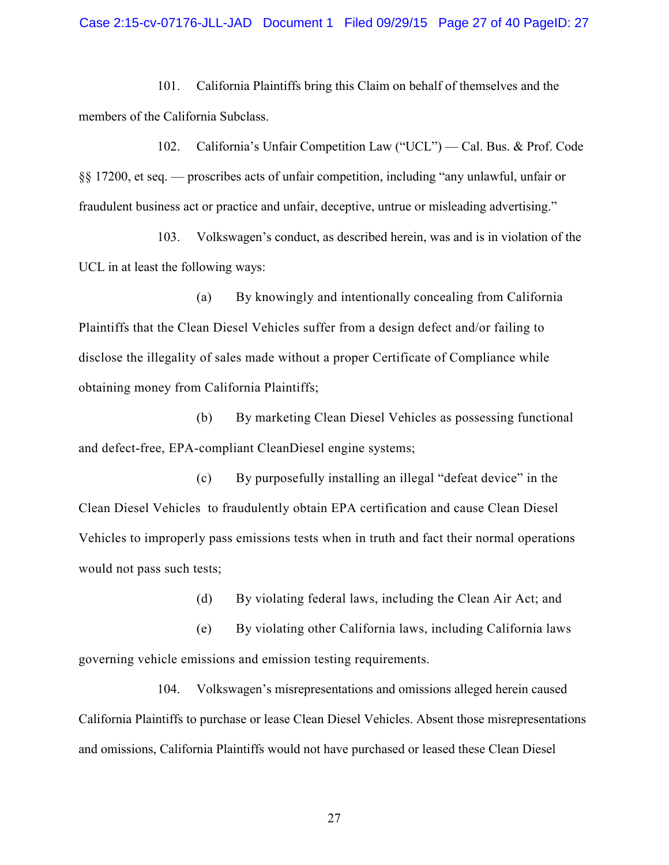101. California Plaintiffs bring this Claim on behalf of themselves and the members of the California Subclass.

102. California's Unfair Competition Law ("UCL") — Cal. Bus. & Prof. Code §§ 17200, et seq. — proscribes acts of unfair competition, including "any unlawful, unfair or fraudulent business act or practice and unfair, deceptive, untrue or misleading advertising."

103. Volkswagen's conduct, as described herein, was and is in violation of the UCL in at least the following ways:

(a) By knowingly and intentionally concealing from California Plaintiffs that the Clean Diesel Vehicles suffer from a design defect and/or failing to disclose the illegality of sales made without a proper Certificate of Compliance while obtaining money from California Plaintiffs;

(b) By marketing Clean Diesel Vehicles as possessing functional and defect-free, EPA-compliant CleanDiesel engine systems;

(c) By purposefully installing an illegal "defeat device" in the Clean Diesel Vehicles to fraudulently obtain EPA certification and cause Clean Diesel Vehicles to improperly pass emissions tests when in truth and fact their normal operations would not pass such tests;

(d) By violating federal laws, including the Clean Air Act; and

(e) By violating other California laws, including California laws governing vehicle emissions and emission testing requirements.

104. Volkswagen's misrepresentations and omissions alleged herein caused California Plaintiffs to purchase or lease Clean Diesel Vehicles. Absent those misrepresentations and omissions, California Plaintiffs would not have purchased or leased these Clean Diesel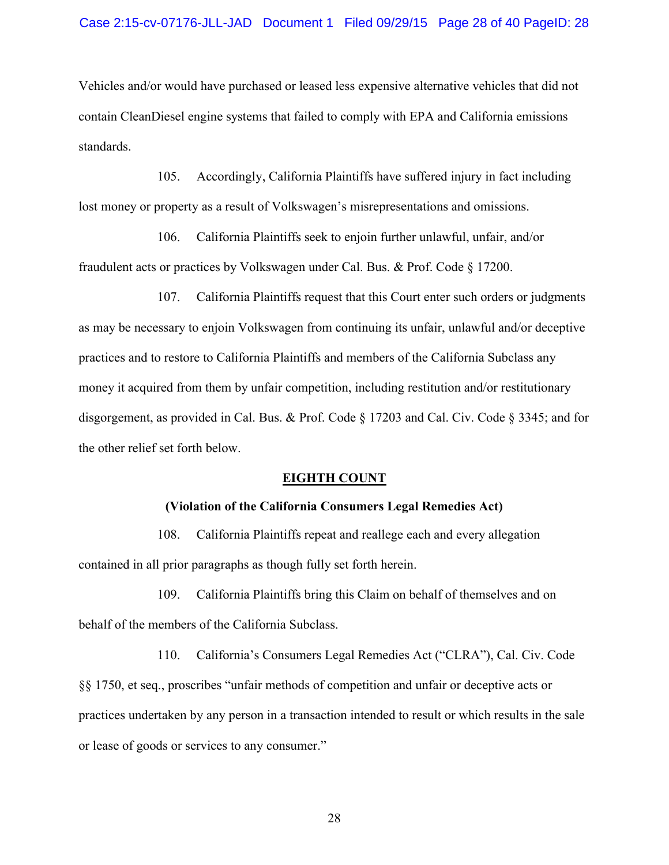Vehicles and/or would have purchased or leased less expensive alternative vehicles that did not contain CleanDiesel engine systems that failed to comply with EPA and California emissions standards.

105. Accordingly, California Plaintiffs have suffered injury in fact including lost money or property as a result of Volkswagen's misrepresentations and omissions.

106. California Plaintiffs seek to enjoin further unlawful, unfair, and/or fraudulent acts or practices by Volkswagen under Cal. Bus. & Prof. Code § 17200.

107. California Plaintiffs request that this Court enter such orders or judgments as may be necessary to enjoin Volkswagen from continuing its unfair, unlawful and/or deceptive practices and to restore to California Plaintiffs and members of the California Subclass any money it acquired from them by unfair competition, including restitution and/or restitutionary disgorgement, as provided in Cal. Bus. & Prof. Code § 17203 and Cal. Civ. Code § 3345; and for the other relief set forth below.

## **EIGHTH COUNT**

### **(Violation of the California Consumers Legal Remedies Act)**

108. California Plaintiffs repeat and reallege each and every allegation contained in all prior paragraphs as though fully set forth herein.

109. California Plaintiffs bring this Claim on behalf of themselves and on behalf of the members of the California Subclass.

110. California's Consumers Legal Remedies Act ("CLRA"), Cal. Civ. Code §§ 1750, et seq., proscribes "unfair methods of competition and unfair or deceptive acts or practices undertaken by any person in a transaction intended to result or which results in the sale or lease of goods or services to any consumer."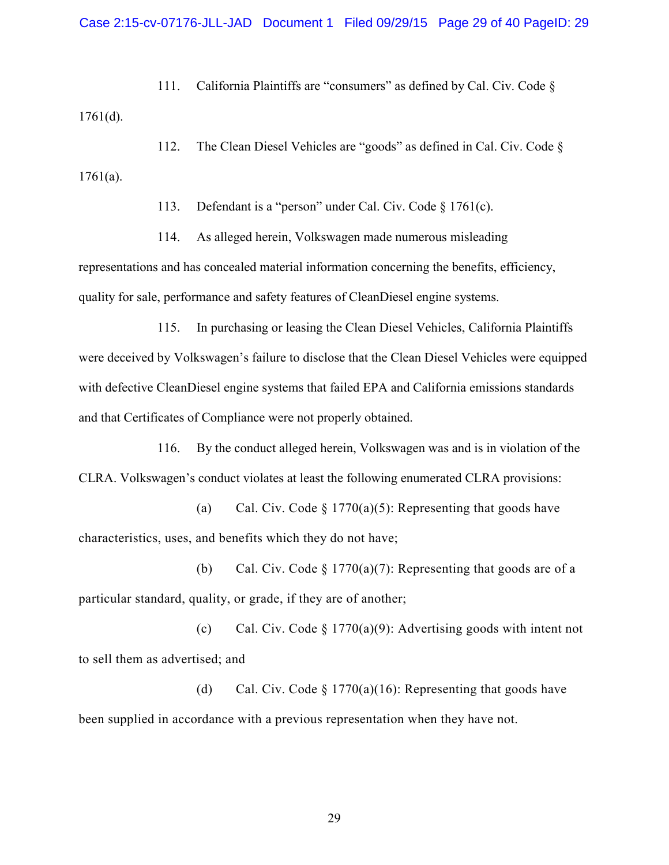111. California Plaintiffs are "consumers" as defined by Cal. Civ. Code §  $1761(d)$ .

112. The Clean Diesel Vehicles are "goods" as defined in Cal. Civ. Code § 1761(a).

113. Defendant is a "person" under Cal. Civ. Code § 1761(c).

114. As alleged herein, Volkswagen made numerous misleading representations and has concealed material information concerning the benefits, efficiency, quality for sale, performance and safety features of CleanDiesel engine systems.

115. In purchasing or leasing the Clean Diesel Vehicles, California Plaintiffs were deceived by Volkswagen's failure to disclose that the Clean Diesel Vehicles were equipped with defective CleanDiesel engine systems that failed EPA and California emissions standards and that Certificates of Compliance were not properly obtained.

116. By the conduct alleged herein, Volkswagen was and is in violation of the CLRA. Volkswagen's conduct violates at least the following enumerated CLRA provisions:

(a) Cal. Civ. Code  $\S 1770(a)(5)$ : Representing that goods have characteristics, uses, and benefits which they do not have;

(b) Cal. Civ. Code  $\S 1770(a)(7)$ : Representing that goods are of a particular standard, quality, or grade, if they are of another;

(c) Cal. Civ. Code  $\S 1770(a)(9)$ : Advertising goods with intent not to sell them as advertised; and

(d) Cal. Civ. Code  $\S 1770(a)(16)$ : Representing that goods have been supplied in accordance with a previous representation when they have not.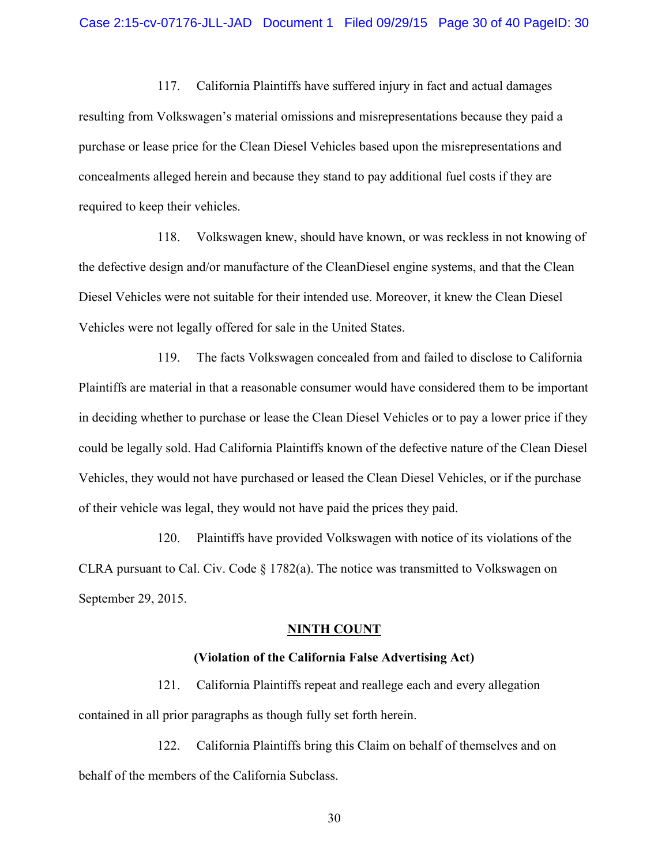117. California Plaintiffs have suffered injury in fact and actual damages resulting from Volkswagen's material omissions and misrepresentations because they paid a purchase or lease price for the Clean Diesel Vehicles based upon the misrepresentations and concealments alleged herein and because they stand to pay additional fuel costs if they are required to keep their vehicles.

118. Volkswagen knew, should have known, or was reckless in not knowing of the defective design and/or manufacture of the CleanDiesel engine systems, and that the Clean Diesel Vehicles were not suitable for their intended use. Moreover, it knew the Clean Diesel Vehicles were not legally offered for sale in the United States.

119. The facts Volkswagen concealed from and failed to disclose to California Plaintiffs are material in that a reasonable consumer would have considered them to be important in deciding whether to purchase or lease the Clean Diesel Vehicles or to pay a lower price if they could be legally sold. Had California Plaintiffs known of the defective nature of the Clean Diesel Vehicles, they would not have purchased or leased the Clean Diesel Vehicles, or if the purchase of their vehicle was legal, they would not have paid the prices they paid.

120. Plaintiffs have provided Volkswagen with notice of its violations of the CLRA pursuant to Cal. Civ. Code § 1782(a). The notice was transmitted to Volkswagen on September 29, 2015.

#### **NINTH COUNT**

## **(Violation of the California False Advertising Act)**

121. California Plaintiffs repeat and reallege each and every allegation contained in all prior paragraphs as though fully set forth herein.

122. California Plaintiffs bring this Claim on behalf of themselves and on behalf of the members of the California Subclass.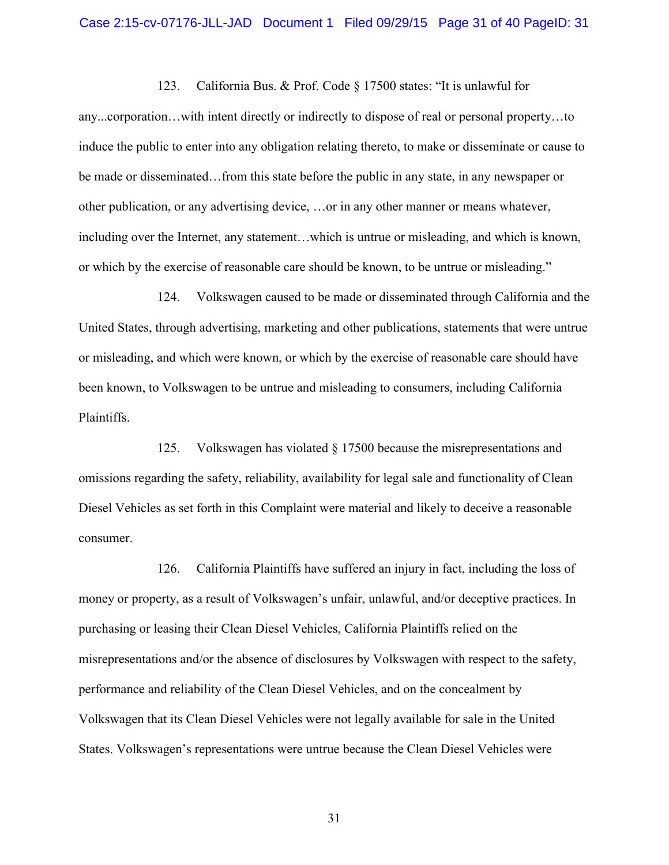#### Case 2:15-cv-07176-JLL-JAD Document 1 Filed 09/29/15 Page 31 of 40 PageID: 31

123. California Bus. & Prof. Code § 17500 states: "It is unlawful for any...corporation…with intent directly or indirectly to dispose of real or personal property…to induce the public to enter into any obligation relating thereto, to make or disseminate or cause to be made or disseminated…from this state before the public in any state, in any newspaper or other publication, or any advertising device, …or in any other manner or means whatever, including over the Internet, any statement…which is untrue or misleading, and which is known, or which by the exercise of reasonable care should be known, to be untrue or misleading."

124. Volkswagen caused to be made or disseminated through California and the United States, through advertising, marketing and other publications, statements that were untrue or misleading, and which were known, or which by the exercise of reasonable care should have been known, to Volkswagen to be untrue and misleading to consumers, including California Plaintiffs.

125. Volkswagen has violated § 17500 because the misrepresentations and omissions regarding the safety, reliability, availability for legal sale and functionality of Clean Diesel Vehicles as set forth in this Complaint were material and likely to deceive a reasonable consumer.

126. California Plaintiffs have suffered an injury in fact, including the loss of money or property, as a result of Volkswagen's unfair, unlawful, and/or deceptive practices. In purchasing or leasing their Clean Diesel Vehicles, California Plaintiffs relied on the misrepresentations and/or the absence of disclosures by Volkswagen with respect to the safety, performance and reliability of the Clean Diesel Vehicles, and on the concealment by Volkswagen that its Clean Diesel Vehicles were not legally available for sale in the United States. Volkswagen's representations were untrue because the Clean Diesel Vehicles were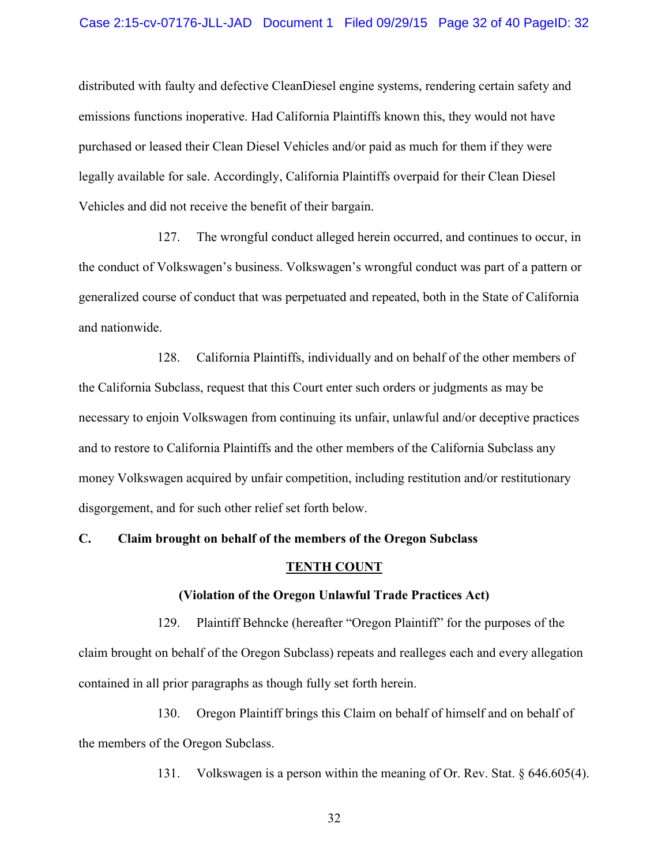### Case 2:15-cv-07176-JLL-JAD Document 1 Filed 09/29/15 Page 32 of 40 PageID: 32

distributed with faulty and defective CleanDiesel engine systems, rendering certain safety and emissions functions inoperative. Had California Plaintiffs known this, they would not have purchased or leased their Clean Diesel Vehicles and/or paid as much for them if they were legally available for sale. Accordingly, California Plaintiffs overpaid for their Clean Diesel Vehicles and did not receive the benefit of their bargain.

127. The wrongful conduct alleged herein occurred, and continues to occur, in the conduct of Volkswagen's business. Volkswagen's wrongful conduct was part of a pattern or generalized course of conduct that was perpetuated and repeated, both in the State of California and nationwide.

128. California Plaintiffs, individually and on behalf of the other members of the California Subclass, request that this Court enter such orders or judgments as may be necessary to enjoin Volkswagen from continuing its unfair, unlawful and/or deceptive practices and to restore to California Plaintiffs and the other members of the California Subclass any money Volkswagen acquired by unfair competition, including restitution and/or restitutionary disgorgement, and for such other relief set forth below.

## **C. Claim brought on behalf of the members of the Oregon Subclass**

## **TENTH COUNT**

## **(Violation of the Oregon Unlawful Trade Practices Act)**

129. Plaintiff Behncke (hereafter "Oregon Plaintiff" for the purposes of the claim brought on behalf of the Oregon Subclass) repeats and realleges each and every allegation contained in all prior paragraphs as though fully set forth herein.

130. Oregon Plaintiff brings this Claim on behalf of himself and on behalf of the members of the Oregon Subclass.

131. Volkswagen is a person within the meaning of Or. Rev. Stat. § 646.605(4).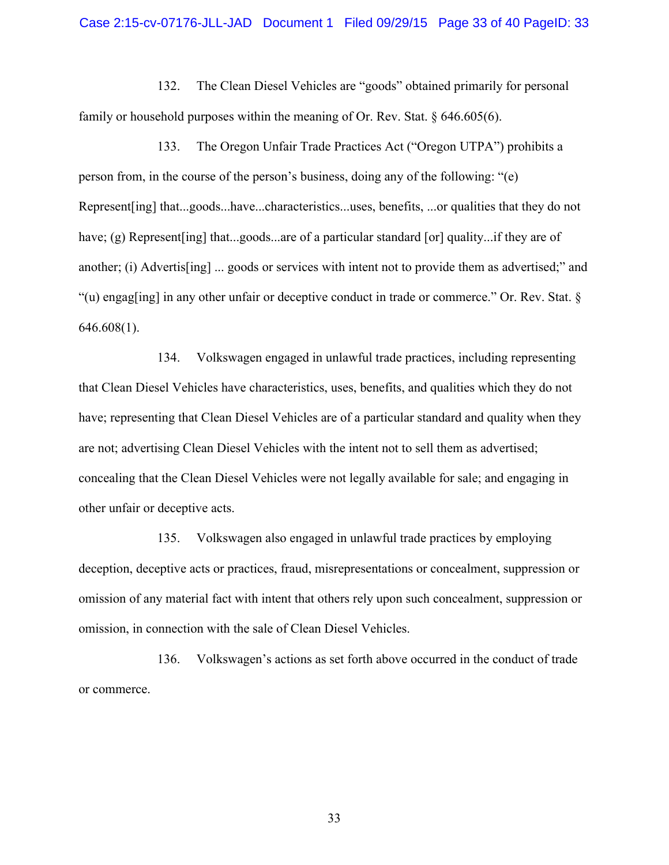132. The Clean Diesel Vehicles are "goods" obtained primarily for personal family or household purposes within the meaning of Or. Rev. Stat. § 646.605(6).

133. The Oregon Unfair Trade Practices Act ("Oregon UTPA") prohibits a person from, in the course of the person's business, doing any of the following: "(e) Represent[ing] that...goods...have...characteristics...uses, benefits, ...or qualities that they do not have; (g) Represent [ing] that...goods...are of a particular standard [or] quality...if they are of another; (i) Advertis[ing] ... goods or services with intent not to provide them as advertised;" and "(u) engag[ing] in any other unfair or deceptive conduct in trade or commerce." Or. Rev. Stat. § 646.608(1).

134. Volkswagen engaged in unlawful trade practices, including representing that Clean Diesel Vehicles have characteristics, uses, benefits, and qualities which they do not have; representing that Clean Diesel Vehicles are of a particular standard and quality when they are not; advertising Clean Diesel Vehicles with the intent not to sell them as advertised; concealing that the Clean Diesel Vehicles were not legally available for sale; and engaging in other unfair or deceptive acts.

135. Volkswagen also engaged in unlawful trade practices by employing deception, deceptive acts or practices, fraud, misrepresentations or concealment, suppression or omission of any material fact with intent that others rely upon such concealment, suppression or omission, in connection with the sale of Clean Diesel Vehicles.

136. Volkswagen's actions as set forth above occurred in the conduct of trade or commerce.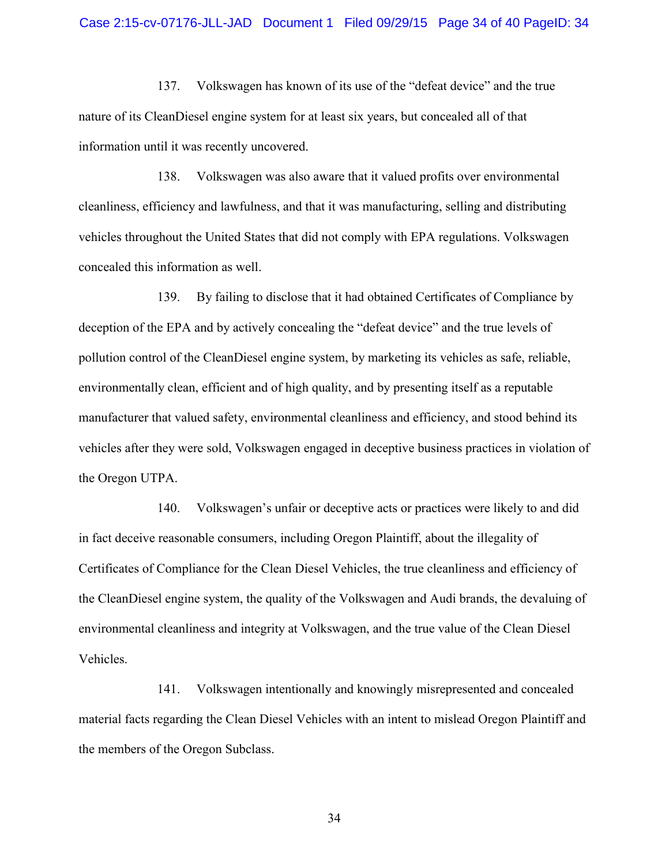137. Volkswagen has known of its use of the "defeat device" and the true nature of its CleanDiesel engine system for at least six years, but concealed all of that information until it was recently uncovered.

138. Volkswagen was also aware that it valued profits over environmental cleanliness, efficiency and lawfulness, and that it was manufacturing, selling and distributing vehicles throughout the United States that did not comply with EPA regulations. Volkswagen concealed this information as well.

139. By failing to disclose that it had obtained Certificates of Compliance by deception of the EPA and by actively concealing the "defeat device" and the true levels of pollution control of the CleanDiesel engine system, by marketing its vehicles as safe, reliable, environmentally clean, efficient and of high quality, and by presenting itself as a reputable manufacturer that valued safety, environmental cleanliness and efficiency, and stood behind its vehicles after they were sold, Volkswagen engaged in deceptive business practices in violation of the Oregon UTPA.

140. Volkswagen's unfair or deceptive acts or practices were likely to and did in fact deceive reasonable consumers, including Oregon Plaintiff, about the illegality of Certificates of Compliance for the Clean Diesel Vehicles, the true cleanliness and efficiency of the CleanDiesel engine system, the quality of the Volkswagen and Audi brands, the devaluing of environmental cleanliness and integrity at Volkswagen, and the true value of the Clean Diesel Vehicles.

141. Volkswagen intentionally and knowingly misrepresented and concealed material facts regarding the Clean Diesel Vehicles with an intent to mislead Oregon Plaintiff and the members of the Oregon Subclass.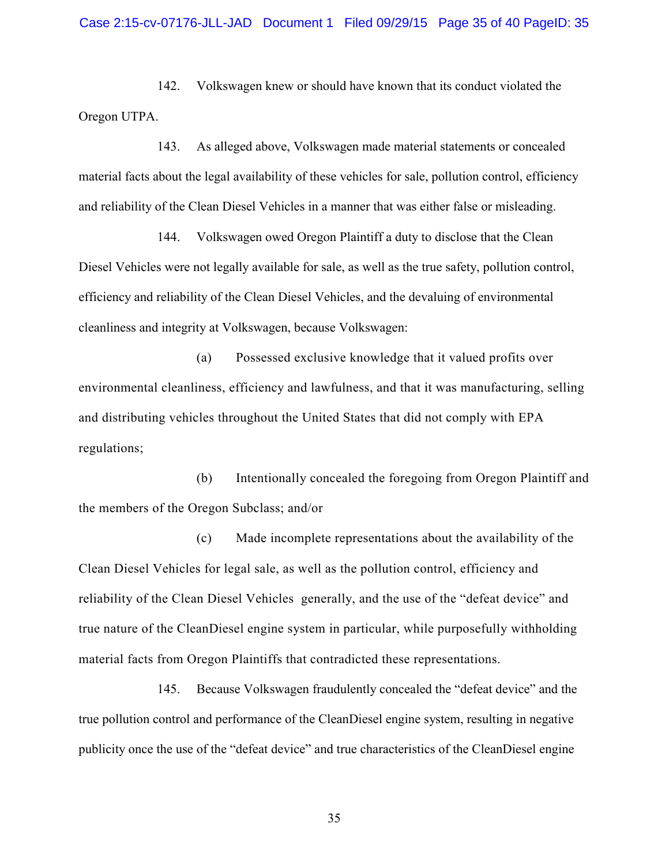142. Volkswagen knew or should have known that its conduct violated the Oregon UTPA.

143. As alleged above, Volkswagen made material statements or concealed material facts about the legal availability of these vehicles for sale, pollution control, efficiency and reliability of the Clean Diesel Vehicles in a manner that was either false or misleading.

144. Volkswagen owed Oregon Plaintiff a duty to disclose that the Clean Diesel Vehicles were not legally available for sale, as well as the true safety, pollution control, efficiency and reliability of the Clean Diesel Vehicles, and the devaluing of environmental cleanliness and integrity at Volkswagen, because Volkswagen:

(a) Possessed exclusive knowledge that it valued profits over environmental cleanliness, efficiency and lawfulness, and that it was manufacturing, selling and distributing vehicles throughout the United States that did not comply with EPA regulations;

(b) Intentionally concealed the foregoing from Oregon Plaintiff and the members of the Oregon Subclass; and/or

(c) Made incomplete representations about the availability of the Clean Diesel Vehicles for legal sale, as well as the pollution control, efficiency and reliability of the Clean Diesel Vehicles generally, and the use of the "defeat device" and true nature of the CleanDiesel engine system in particular, while purposefully withholding material facts from Oregon Plaintiffs that contradicted these representations.

145. Because Volkswagen fraudulently concealed the "defeat device" and the true pollution control and performance of the CleanDiesel engine system, resulting in negative publicity once the use of the "defeat device" and true characteristics of the CleanDiesel engine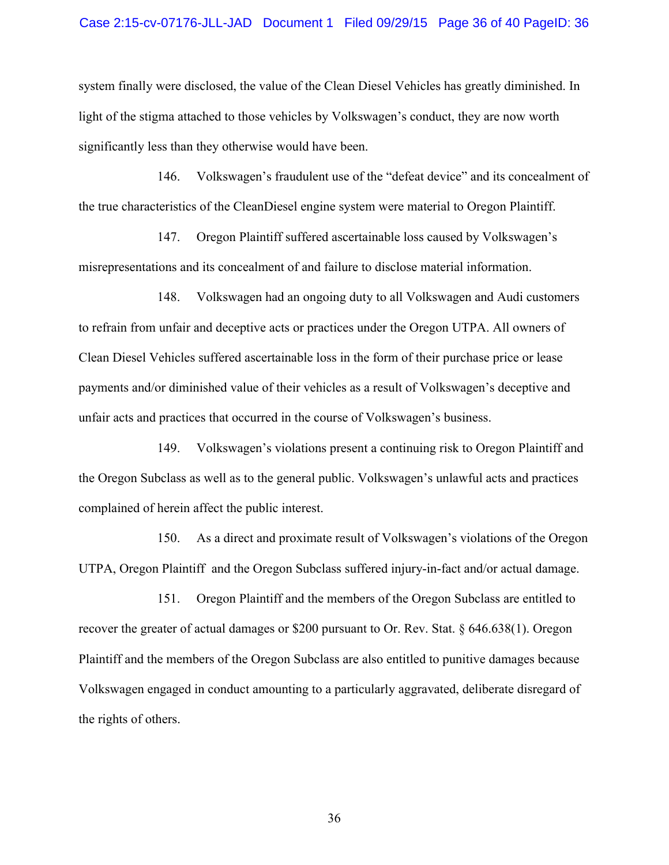### Case 2:15-cv-07176-JLL-JAD Document 1 Filed 09/29/15 Page 36 of 40 PageID: 36

system finally were disclosed, the value of the Clean Diesel Vehicles has greatly diminished. In light of the stigma attached to those vehicles by Volkswagen's conduct, they are now worth significantly less than they otherwise would have been.

146. Volkswagen's fraudulent use of the "defeat device" and its concealment of the true characteristics of the CleanDiesel engine system were material to Oregon Plaintiff.

147. Oregon Plaintiff suffered ascertainable loss caused by Volkswagen's misrepresentations and its concealment of and failure to disclose material information.

148. Volkswagen had an ongoing duty to all Volkswagen and Audi customers to refrain from unfair and deceptive acts or practices under the Oregon UTPA. All owners of Clean Diesel Vehicles suffered ascertainable loss in the form of their purchase price or lease payments and/or diminished value of their vehicles as a result of Volkswagen's deceptive and unfair acts and practices that occurred in the course of Volkswagen's business.

149. Volkswagen's violations present a continuing risk to Oregon Plaintiff and the Oregon Subclass as well as to the general public. Volkswagen's unlawful acts and practices complained of herein affect the public interest.

150. As a direct and proximate result of Volkswagen's violations of the Oregon UTPA, Oregon Plaintiff and the Oregon Subclass suffered injury-in-fact and/or actual damage.

151. Oregon Plaintiff and the members of the Oregon Subclass are entitled to recover the greater of actual damages or \$200 pursuant to Or. Rev. Stat. § 646.638(1). Oregon Plaintiff and the members of the Oregon Subclass are also entitled to punitive damages because Volkswagen engaged in conduct amounting to a particularly aggravated, deliberate disregard of the rights of others.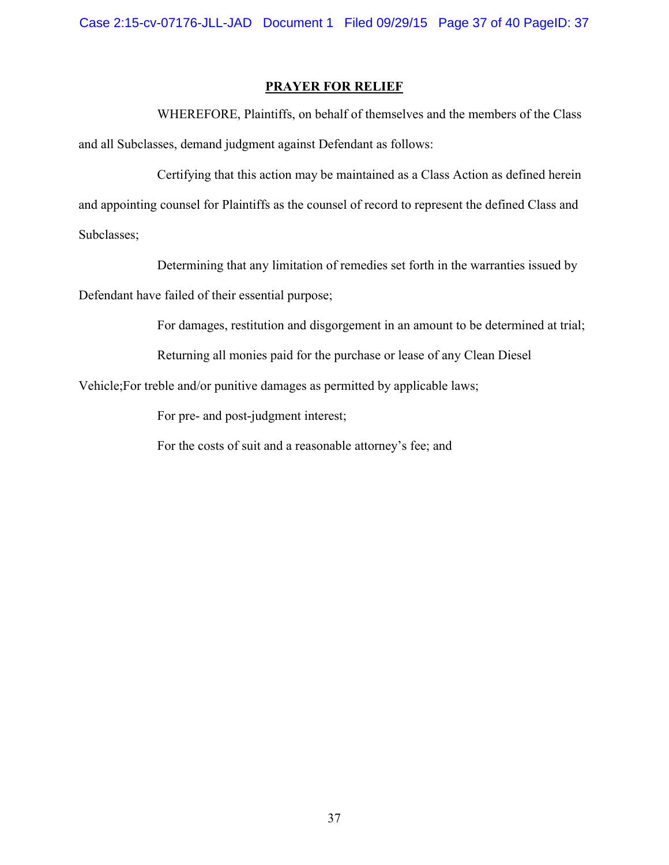## **PRAYER FOR RELIEF**

WHEREFORE, Plaintiffs, on behalf of themselves and the members of the Class and all Subclasses, demand judgment against Defendant as follows:

Certifying that this action may be maintained as a Class Action as defined herein and appointing counsel for Plaintiffs as the counsel of record to represent the defined Class and Subclasses;

Determining that any limitation of remedies set forth in the warranties issued by

Defendant have failed of their essential purpose;

For damages, restitution and disgorgement in an amount to be determined at trial;

Returning all monies paid for the purchase or lease of any Clean Diesel

Vehicle;For treble and/or punitive damages as permitted by applicable laws;

For pre- and post-judgment interest;

For the costs of suit and a reasonable attorney's fee; and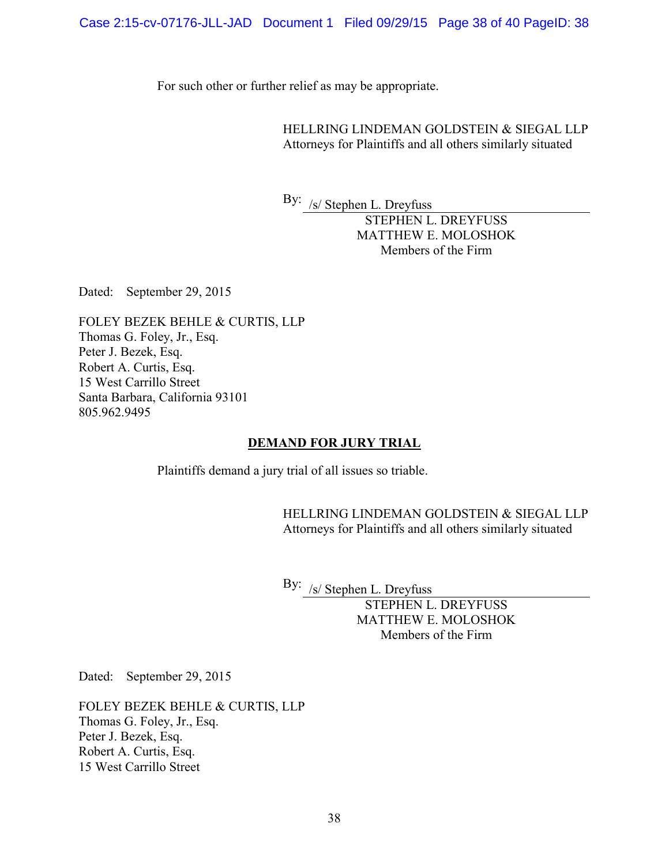For such other or further relief as may be appropriate.

HELLRING LINDEMAN GOLDSTEIN & SIEGAL LLP Attorneys for Plaintiffs and all others similarly situated

By: /s/ Stephen L. Dreyfuss

STEPHEN L. DREYFUSS MATTHEW E. MOLOSHOK Members of the Firm

Dated: September 29, 2015

FOLEY BEZEK BEHLE & CURTIS, LLP Thomas G. Foley, Jr., Esq. Peter J. Bezek, Esq. Robert A. Curtis, Esq. 15 West Carrillo Street Santa Barbara, California 93101 805.962.9495

## **DEMAND FOR JURY TRIAL**

Plaintiffs demand a jury trial of all issues so triable.

HELLRING LINDEMAN GOLDSTEIN & SIEGAL LLP Attorneys for Plaintiffs and all others similarly situated

By: /s/ Stephen L. Dreyfuss

STEPHEN L. DREYFUSS MATTHEW E. MOLOSHOK Members of the Firm

Dated: September 29, 2015

FOLEY BEZEK BEHLE & CURTIS, LLP Thomas G. Foley, Jr., Esq. Peter J. Bezek, Esq. Robert A. Curtis, Esq. 15 West Carrillo Street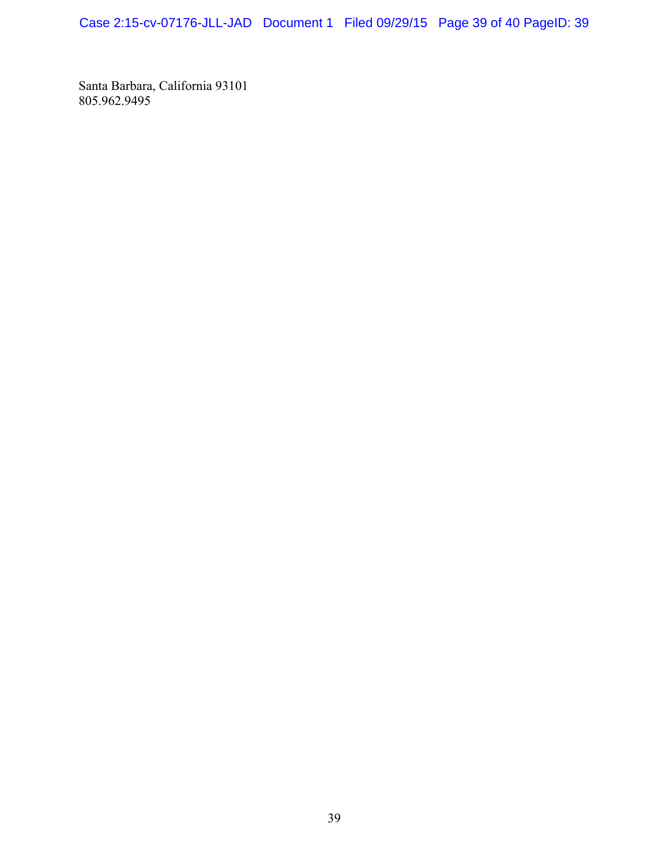Case 2:15-cv-07176-JLL-JAD Document 1 Filed 09/29/15 Page 39 of 40 PageID: 39

Santa Barbara, California 93101 805.962.9495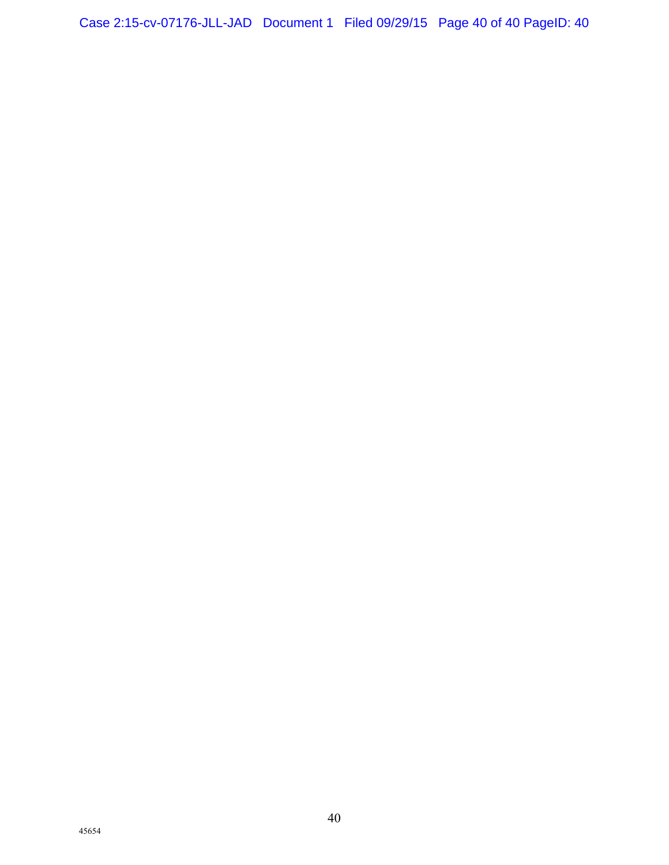Case 2:15-cv-07176-JLL-JAD Document 1 Filed 09/29/15 Page 40 of 40 PageID: 40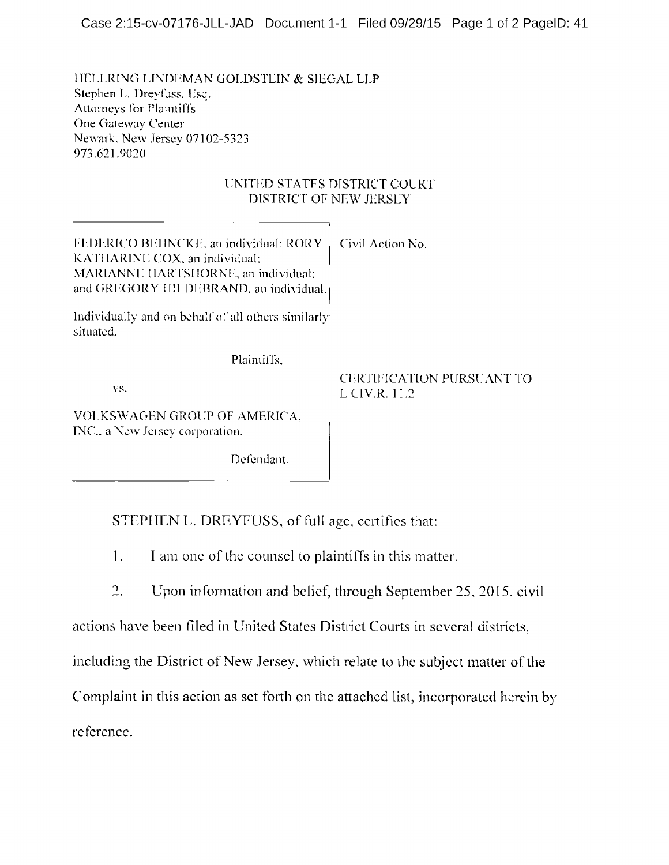HELLRING LINDEMAN GOLDSTEIN & SIEGAL LLP Stephen L. Dreyfuss, Esq. Attorneys for Plaintiffs One Gateway Center Newark. New Jersey 07102-5323 973.621.9020

## UNITED STATES DISTRICT COURT DISTRICT OF NEW JERSEY

FEDERICO BEHNCKE, an individual; RORY Civil Action No. KATHARINE COX, an individual: MARIANNE HARTSHORNE, an individual; and GREGORY HILDEBRAND, an individual.

Individually and on behalf of all others similarl situated,

Plaintiffs,

VOLKSWAGEN GROUP OF AMERICA, INC.. <sup>a</sup> New Jersey corporation.

Defendant.

STEPHEN L. DREYFUSS, of full age, certifies that:

1. <sup>I</sup> am one of the counsel to plaintiffs in this matter.

2. Upon information and belief, through September 25, 2015, civil

actions have been filed in United States District Courts in several districts,

including the District of New Jersey, which relate to the subject matter of the

Complaint in this action as set forth on the attached list, incorporated herein by

reference.

CERTIFICATION PURSUANT TO vs. L.CIV.R. 11.2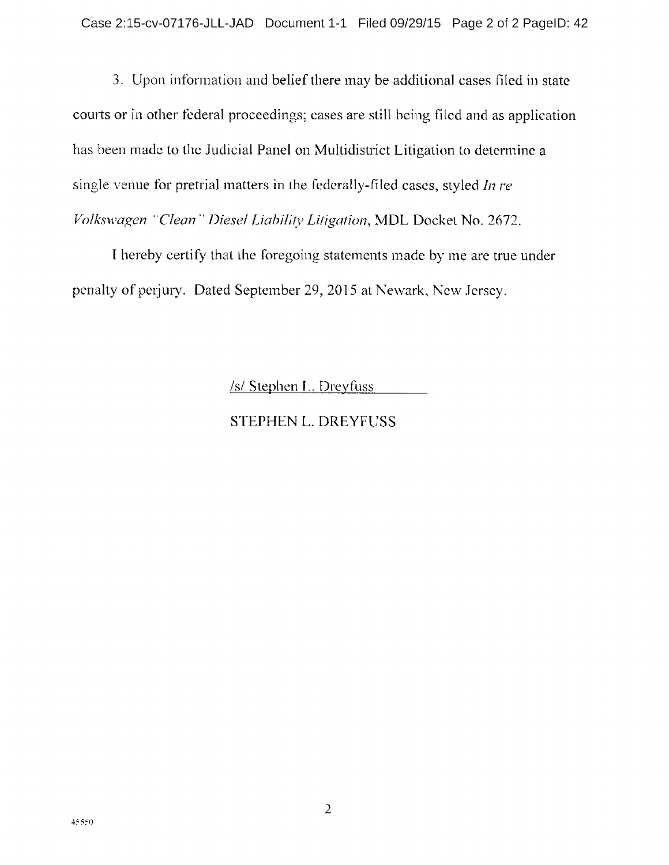3. Upon information and belief there may be additional cases filed in state courts or in other federal proceedings; cases are still being filed and as application has been made to the Judicial Panel on Multidistrict Litigation to determine <sup>a</sup> single venue for pretrial matters in the federally-filed cases, styled In re Volkswagen "Clean" Diesel Liability Litigation, MDL Docket No. 2672.

I hereby certify that the foregoing statements made by me are true under penalty of perjury. Dated September 29, 2015 at Newark, New Jersey.

/s/ Stephen L. Dreyfuss

STEPHEN L. DREYFUSS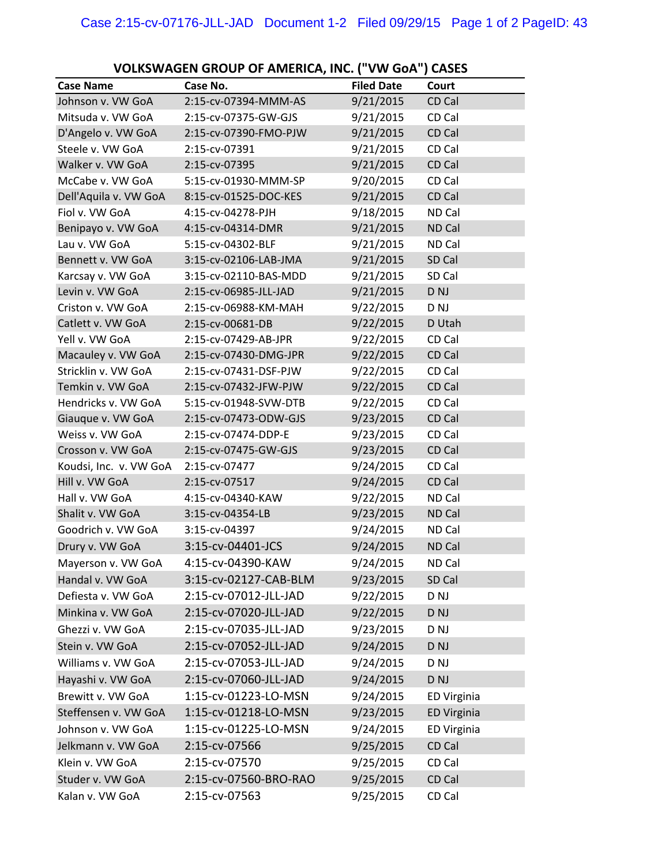| Case No.<br><b>Filed Date</b><br>Court<br><b>Case Name</b><br>2:15-cv-07394-MMM-AS<br>Johnson v. VW GoA<br>9/21/2015<br>CD Cal<br>9/21/2015<br>CD Cal<br>Mitsuda v. VW GoA<br>2:15-cv-07375-GW-GJS<br>D'Angelo v. VW GoA<br>2:15-cv-07390-FMO-PJW<br>9/21/2015<br>CD Cal<br>9/21/2015<br>CD Cal<br>Steele v. VW GoA<br>2:15-cv-07391<br>9/21/2015<br>Walker v. VW GoA<br>CD Cal<br>2:15-cv-07395<br>McCabe v. VW GoA<br>5:15-cv-01930-MMM-SP<br>9/20/2015<br>CD Cal<br>Dell'Aquila v. VW GoA<br>8:15-cv-01525-DOC-KES<br>9/21/2015<br>CD Cal<br>Fiol v. VW GoA<br>4:15-cv-04278-PJH<br>9/18/2015<br>ND Cal<br>Benipayo v. VW GoA<br>9/21/2015<br>4:15-cv-04314-DMR<br>ND Cal<br>9/21/2015<br>Lau v. VW GoA<br>5:15-cv-04302-BLF<br>ND Cal |
|-------------------------------------------------------------------------------------------------------------------------------------------------------------------------------------------------------------------------------------------------------------------------------------------------------------------------------------------------------------------------------------------------------------------------------------------------------------------------------------------------------------------------------------------------------------------------------------------------------------------------------------------------------------------------------------------------------------------------------------------|
|                                                                                                                                                                                                                                                                                                                                                                                                                                                                                                                                                                                                                                                                                                                                           |
|                                                                                                                                                                                                                                                                                                                                                                                                                                                                                                                                                                                                                                                                                                                                           |
|                                                                                                                                                                                                                                                                                                                                                                                                                                                                                                                                                                                                                                                                                                                                           |
|                                                                                                                                                                                                                                                                                                                                                                                                                                                                                                                                                                                                                                                                                                                                           |
|                                                                                                                                                                                                                                                                                                                                                                                                                                                                                                                                                                                                                                                                                                                                           |
|                                                                                                                                                                                                                                                                                                                                                                                                                                                                                                                                                                                                                                                                                                                                           |
|                                                                                                                                                                                                                                                                                                                                                                                                                                                                                                                                                                                                                                                                                                                                           |
|                                                                                                                                                                                                                                                                                                                                                                                                                                                                                                                                                                                                                                                                                                                                           |
|                                                                                                                                                                                                                                                                                                                                                                                                                                                                                                                                                                                                                                                                                                                                           |
|                                                                                                                                                                                                                                                                                                                                                                                                                                                                                                                                                                                                                                                                                                                                           |
|                                                                                                                                                                                                                                                                                                                                                                                                                                                                                                                                                                                                                                                                                                                                           |
| 9/21/2015<br>Bennett v. VW GoA<br>3:15-cv-02106-LAB-JMA<br>SD Cal                                                                                                                                                                                                                                                                                                                                                                                                                                                                                                                                                                                                                                                                         |
| Karcsay v. VW GoA<br>3:15-cv-02110-BAS-MDD<br>9/21/2015<br>SD Cal                                                                                                                                                                                                                                                                                                                                                                                                                                                                                                                                                                                                                                                                         |
| Levin v. VW GoA<br>2:15-cv-06985-JLL-JAD<br>9/21/2015<br>D <sub>N</sub>                                                                                                                                                                                                                                                                                                                                                                                                                                                                                                                                                                                                                                                                   |
| Criston v. VW GoA<br>9/22/2015<br>D <sub>N</sub><br>2:15-cv-06988-KM-MAH                                                                                                                                                                                                                                                                                                                                                                                                                                                                                                                                                                                                                                                                  |
| 9/22/2015<br>Catlett v. VW GoA<br>2:15-cv-00681-DB<br>D Utah                                                                                                                                                                                                                                                                                                                                                                                                                                                                                                                                                                                                                                                                              |
| 9/22/2015<br>Yell v. VW GoA<br>2:15-cv-07429-AB-JPR<br>CD Cal                                                                                                                                                                                                                                                                                                                                                                                                                                                                                                                                                                                                                                                                             |
| Macauley v. VW GoA<br>9/22/2015<br>CD Cal<br>2:15-cv-07430-DMG-JPR                                                                                                                                                                                                                                                                                                                                                                                                                                                                                                                                                                                                                                                                        |
| Stricklin v. VW GoA<br>2:15-cv-07431-DSF-PJW<br>9/22/2015<br>CD Cal                                                                                                                                                                                                                                                                                                                                                                                                                                                                                                                                                                                                                                                                       |
| 9/22/2015<br>CD Cal<br>Temkin v. VW GoA<br>2:15-cv-07432-JFW-PJW                                                                                                                                                                                                                                                                                                                                                                                                                                                                                                                                                                                                                                                                          |
| Hendricks v. VW GoA<br>5:15-cv-01948-SVW-DTB<br>9/22/2015<br>CD Cal                                                                                                                                                                                                                                                                                                                                                                                                                                                                                                                                                                                                                                                                       |
| 9/23/2015<br>CD Cal<br>Giauque v. VW GoA<br>2:15-cv-07473-ODW-GJS                                                                                                                                                                                                                                                                                                                                                                                                                                                                                                                                                                                                                                                                         |
| Weiss v. VW GoA<br>9/23/2015<br>CD Cal<br>2:15-cv-07474-DDP-E                                                                                                                                                                                                                                                                                                                                                                                                                                                                                                                                                                                                                                                                             |
| Crosson v. VW GoA<br>9/23/2015<br>CD Cal<br>2:15-cv-07475-GW-GJS                                                                                                                                                                                                                                                                                                                                                                                                                                                                                                                                                                                                                                                                          |
| Koudsi, Inc. v. VW GoA<br>2:15-cv-07477<br>9/24/2015<br>CD Cal                                                                                                                                                                                                                                                                                                                                                                                                                                                                                                                                                                                                                                                                            |
| 9/24/2015<br>Hill v. VW GoA<br>2:15-cv-07517<br>CD Cal                                                                                                                                                                                                                                                                                                                                                                                                                                                                                                                                                                                                                                                                                    |
| Hall v. VW GoA<br>4:15-cv-04340-KAW<br>9/22/2015<br>ND Cal                                                                                                                                                                                                                                                                                                                                                                                                                                                                                                                                                                                                                                                                                |
| 9/23/2015<br><b>ND Cal</b><br>Shalit v. VW GoA<br>3:15-cv-04354-LB                                                                                                                                                                                                                                                                                                                                                                                                                                                                                                                                                                                                                                                                        |
| Goodrich v. VW GoA<br>9/24/2015<br>3:15-cv-04397<br>ND Cal                                                                                                                                                                                                                                                                                                                                                                                                                                                                                                                                                                                                                                                                                |
| 3:15-cv-04401-JCS<br>9/24/2015<br>ND Cal<br>Drury v. VW GoA                                                                                                                                                                                                                                                                                                                                                                                                                                                                                                                                                                                                                                                                               |
| 4:15-cv-04390-KAW<br>9/24/2015<br>ND Cal<br>Mayerson v. VW GoA                                                                                                                                                                                                                                                                                                                                                                                                                                                                                                                                                                                                                                                                            |
| Handal v. VW GoA<br>3:15-cv-02127-CAB-BLM<br>9/23/2015<br>SD Cal                                                                                                                                                                                                                                                                                                                                                                                                                                                                                                                                                                                                                                                                          |
| Defiesta v. VW GoA<br>2:15-cv-07012-JLL-JAD<br>9/22/2015<br>D <sub>N</sub>                                                                                                                                                                                                                                                                                                                                                                                                                                                                                                                                                                                                                                                                |
| Minkina v. VW GoA<br>2:15-cv-07020-JLL-JAD<br>9/22/2015<br>D <sub>NJ</sub>                                                                                                                                                                                                                                                                                                                                                                                                                                                                                                                                                                                                                                                                |
| 2:15-cv-07035-JLL-JAD<br>Ghezzi v. VW GoA<br>9/23/2015<br>D <sub>N</sub>                                                                                                                                                                                                                                                                                                                                                                                                                                                                                                                                                                                                                                                                  |
| Stein v. VW GoA<br>2:15-cv-07052-JLL-JAD<br>9/24/2015<br>D <sub>N</sub>                                                                                                                                                                                                                                                                                                                                                                                                                                                                                                                                                                                                                                                                   |
| Williams v. VW GoA<br>2:15-cv-07053-JLL-JAD<br>9/24/2015<br>D <sub>N</sub>                                                                                                                                                                                                                                                                                                                                                                                                                                                                                                                                                                                                                                                                |
| Hayashi v. VW GoA<br>2:15-cv-07060-JLL-JAD<br>9/24/2015<br>D <sub>N</sub>                                                                                                                                                                                                                                                                                                                                                                                                                                                                                                                                                                                                                                                                 |
| Brewitt v. VW GoA<br>1:15-cv-01223-LO-MSN<br>9/24/2015<br><b>ED Virginia</b>                                                                                                                                                                                                                                                                                                                                                                                                                                                                                                                                                                                                                                                              |
| Steffensen v. VW GoA<br>1:15-cv-01218-LO-MSN<br>9/23/2015<br><b>ED Virginia</b>                                                                                                                                                                                                                                                                                                                                                                                                                                                                                                                                                                                                                                                           |
| 1:15-cv-01225-LO-MSN<br>Johnson v. VW GoA<br>9/24/2015<br><b>ED Virginia</b>                                                                                                                                                                                                                                                                                                                                                                                                                                                                                                                                                                                                                                                              |
| Jelkmann v. VW GoA<br>2:15-cv-07566<br>9/25/2015<br>CD Cal                                                                                                                                                                                                                                                                                                                                                                                                                                                                                                                                                                                                                                                                                |
| Klein v. VW GoA<br>2:15-cv-07570<br>CD Cal<br>9/25/2015                                                                                                                                                                                                                                                                                                                                                                                                                                                                                                                                                                                                                                                                                   |
| Studer v. VW GoA<br>2:15-cv-07560-BRO-RAO<br>9/25/2015<br>CD Cal                                                                                                                                                                                                                                                                                                                                                                                                                                                                                                                                                                                                                                                                          |
| Kalan v. VW GoA<br>2:15-cv-07563<br>CD Cal<br>9/25/2015                                                                                                                                                                                                                                                                                                                                                                                                                                                                                                                                                                                                                                                                                   |

# **VOLKSWAGEN GROUP OF AMERICA, INC. ("VW GoA") CASES**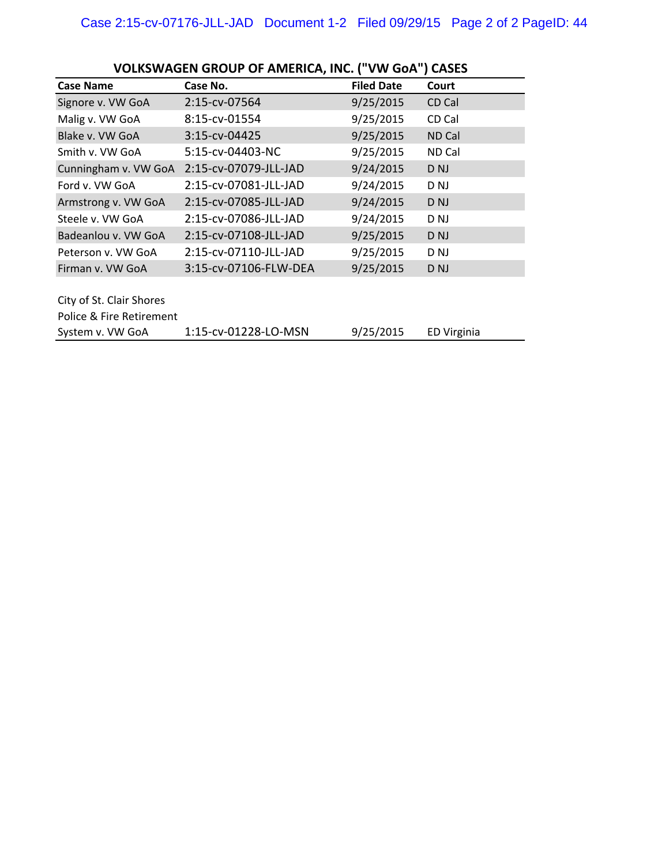| <b>Case Name</b>         | Case No.              | <b>Filed Date</b> | Court              |  |
|--------------------------|-----------------------|-------------------|--------------------|--|
| Signore v. VW GoA        | 2:15-cv-07564         | 9/25/2015         | CD Cal             |  |
| Malig v. VW GoA          | 8:15-cv-01554         | 9/25/2015         | CD Cal             |  |
| Blake v. VW GoA          | 3:15-cv-04425         | 9/25/2015         | ND Cal             |  |
| Smith v. VW GoA          | 5:15-cv-04403-NC      | 9/25/2015         | ND Cal             |  |
| Cunningham v. VW GoA     | 2:15-cv-07079-JLL-JAD | 9/24/2015         | D NJ               |  |
| Ford v. VW GoA           | 2:15-cv-07081-JLL-JAD | 9/24/2015         | D NJ               |  |
| Armstrong v. VW GoA      | 2:15-cv-07085-JLL-JAD | 9/24/2015         | D <sub>N</sub>     |  |
| Steele v. VW GoA         | 2:15-cv-07086-JLL-JAD | 9/24/2015         | D <sub>N</sub>     |  |
| Badeanlou v. VW GoA      | 2:15-cv-07108-JLL-JAD | 9/25/2015         | D NJ               |  |
| Peterson v. VW GoA       | 2:15-cv-07110-JLL-JAD | 9/25/2015         | D NJ               |  |
| Firman v. VW GoA         | 3:15-cv-07106-FLW-DEA | 9/25/2015         | D NJ               |  |
|                          |                       |                   |                    |  |
| City of St. Clair Shores |                       |                   |                    |  |
| Police & Fire Retirement |                       |                   |                    |  |
| System v. VW GoA         | 1:15-cv-01228-LO-MSN  | 9/25/2015         | <b>ED Virginia</b> |  |

# **VOLKSWAGEN GROUP OF AMERICA, INC. ("VW GoA") CASES**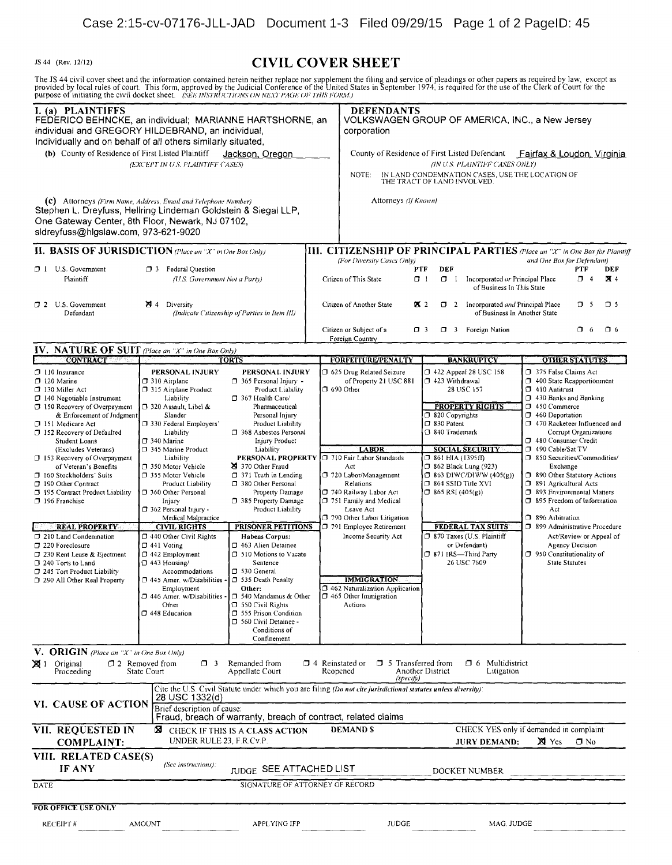## JS <sup>44</sup> (Rev. 12/12) CIVIL COVER SHEET

Foreign Country The JS 44 civil cover sheet and the information contained herein neither replace nor supplement the filing and service of pleadings or other papers as required by law, except as<br>provided by local rules of court. This form, I. (a) PLAINTIFFS<br>EEREPIOO REUNOUE DE L'UNE LIADUNIE LIADERIE DE L'OUISINOTIO FEDERICO BEHNCKE, an individual; MARIANNE HARTSHORNE, an VOLKSWAGEN GROUP OF AMERICA, INC., a New Jersey individual and GREGORY HILDEBRAND, an individual, example the corporation Individually and on behalf of all others similarly situated,<br>
(b) County of Residence of First Listed Plaintiff Jackson, Oregon County of Residence of First Listed Defendant Fairfax & Loudon, Virginia<br>(IN U.S. PLAINTIFF CASES ONLY) (EXCEPT IN U.S. PLAINTIFF CASES) NOTE: IN LAND CONDEMNATION CASES, USE THE LOCATION OF THE TRACT OF LAND INVOLVED. (c) Attorneys (Firm Name, Address, Email and Telephone Number) and Attorneys (If Known) Stephen L. Dreyfuss, Hellring Lindeman Goldstein & Siegal LLP, One Gateway Center, 8th Floor, Newark, NJ 07102, sldreyfuss@higslaw.com, 973-621-9020 **II. BASIS OF JURISDICTION** (Place an "X" in One Box Only)  $\begin{bmatrix} 1 & 1 & 1 \ 1 & 1 & 1 \end{bmatrix}$  **III.** CITIZENSHIP OF PRINCIPAL PARTIES (Place an "X" in One Box for Plaintiff (For Diversity Cases Only) and One Box for Defendant)<br>D 1 U.S. Government D 3 Federal Question PTF DEF PTF DEF PTF DEF PTF DEF Plaintiff (I.S. Government Not a Party) Citizen of This State  $\Box$  1  $\Box$  1 Incorporated or Principal Place  $\Box$  4 **X 4** ofBusiness In This State O 2 U.S. Government M 4 Diversity (Indicate Citizen of Another State M 2 Citizen of Another State M 2 CI 2 Incorporated and Principal Place O 5 0 5<br>Obtendant (Indicate Citizenship of Parties in Item III) (Indicate Citizens (Indicate Citizenship of Parties in Item III) Citizen or Subject of a  $\Box$  3  $\Box$  3 Foreign Nation  $\Box$  6  $\Box$  6  $\Box$  6 **IV. NATURE OF SUIT** (Place an "X" in One Box Only)<br>**CONTRACT** CONTROL FORFEITURE/PENALTY | BANKRUPTCY | OTHER STATUTES O 110 Insurance PERSONAL INJURY PERSONAL INJURY 0 625 Drug Related Seizure 0 422 Appeal 28 USC 158 0 375 False Claims Act<br>
0 310 A00 State Reapportion<br>
0 400 State Reapportion O 120 Marine **D** 310 Airplane **D** 365 Personal Injury of Property 21 USC 881 423 Withdrawal **C** 400 State Reapportionment<br> **C** 130 Airplane Product Product Liability C 690 Other 28 USC 157 110 Antitrust □ 315 Airplane Product Product Liability 0 690 Other 28 USC 157 O 410 Antitrust Liability D 367 Realth Care/ CI 430 Banks and Banking O 140 Negotiable Instrument Liability  $\Box$  367 Health Care/ 0 430 Banks and  $\Box$  150 Recovery of Overpayment  $\Box$  320 Assault, Libel & Pharmaceutical  $\Box$  PROPERTY RIGHTS  $\Box$  450 Commerce O 150 Recovery of Overpayment 320 Assault, Libel & Pharmaceutical & Pharmaceutical & Property RIGHTS 0 450 Commerce<br>
& Enforcement of Judgment Slander Personal Injury (320 Copyrights Bander 2014) & Enforcement of Judgment Slander Personal Injury Personal Injury (D 820 Copyrights 151 Medicare Act (D 330 Pederal Employers' Product Liability (D 330 Peteral Federal Employers' Product Liability Product Liability Concernsive Concernsive Concernsive Concernsive Concernsive Concernsive Concernsive Concernsive Concernsive Concernsive Concernsive Concernsive Concernsive Concernsive O 152 Recovery of Defaulted Liability C 368 Asbestos Person<br>Student Loans C 340 Marine Injury Product Student Loans 5 340 Marine 19 340 Marine 1 340 Marine 1 340 Marine 1 480 Consumer Credit 1 480 Consumer Credit<br>
(Excludes Veterans) 1 345 Marine Product Liability Liability 1 490 Cable/Sat TV 1 490 Cable/Sat TV Marine Product Liability LABOR LABOR SOCIAL SECURITY 19 01 490 Cable/Sat TV<br>
Liability PERSONAL PROPERTY 0 710 Fair Labor Standards 0 861 HIA (1395ff) 0 850 Securities/Commodities/ CI 153 Recovery of Overpayment Liability PERSONAL PROPERTY CI 710 Fair Labor Standards CI 861 HIA (1395ff) CI 850 Securities/<br>of Veteran's Benefits CI 350 Motor Vehicle 23 370 Other Fraud Act (20082 Black Lung (923) Exchan of Veteran's Benefits 1350 Motor Vehicle 2 370 Other Fraud Act 1 362 Black Lung (923) Exchange<br>160 Stockholders' Suits 1355 Motor Vehicle 1371 Truth in Lending 1370 Labor/Management 13863 DIWC/DIWW (405(g)) 1390 Other Stat  $\begin{array}{|l|l|l|}\n\hline\n\text{160 Stockholders' Suits} & & \text{355 Motor Vehicle} & \text{363hWCC/DIWW (405(g))}\n\hline\n\text{260 Other Central Product Liability} & & \text{371 Truth in Lending} & & \text{380C1M} & & \text{380C1M} & & \text{380C1M} & & \text{380D1WCC/DIWW (405(g))}\n\hline\n\end{array}$ Product Liability  $\Box$  380 Other Personal Relations Relations  $\Box$  360 Other Personal Property Damage  $\Box$  360 RSI (405(g))  $\Box$  893 Environmental Matters □ 195 Contract Product Liability 0 360 Other Personal Property Damage □ 740 Railway Labor Act □ 96 Franchise [0 740 Railway Labor Act 0 885 Property Damage □ 751 Fanuly and Medical Property Damage **O 751 Fanuly and Medical 1** 895 Freedom of Information Product Liability Leave Act **Product Liability** 0 <sup>362</sup> Personal Injury Product Liability Leave Act Act Medical Malpractice **1 896 Arbitration** 1 790 Other Labor Litigation **1 896 Arbitration** 1 896 Arbitration **1 896 Arbitration** 1 899 Administrative Procedure REAL PROPERTY CIVIL RIGHTS PRISONER PETITIONS 791 Employee Retirement FEDERAL TAX SUITS 0 899 Administrative Procedure<br>
CIVIL RIGHTS Habeas Corpus: Habeas Corpus: Income Security Act 0 870 Taxes (U.S. Plaintiff Act/Review O 210 Land Condemnation CI 440 Other Civil Rights Habeas Corpus: Income Security Act CI 870 Taxes (U.S. Plaintiff Act/Review or Appendix CI 441 Voting GI 440 Other Civil Rights Habeas Corpus: Income Security Act CI 870 Tax O 220 Foreclosure  $\Box$  441 Voting  $\Box$  463 Alien Detainee  $\Box$  220 For Defendant) Agency Decision 0 230 Rent Lease & Ejectment | 0 442 Employment | 0 510 Motions to Vacate | 0 871 1RS—Third Party | 0 950 Constitutionality of State Statutes | 0 443 Housing | 0 443 Housing | 0 960 Constitutionality of State Statutes | 0 0 <sup>240</sup> Torts to Land 0 <sup>443</sup> Housing/ Sentence <sup>26</sup> USC <sup>7609</sup> State Statutes  $\begin{array}{|c|c|c|c|c|}\n\hline\n\text{245 Tort Product Liability} & \text{Accommodations} & \text{2530 General} \\
\hline\n\text{290 All Other Real Property} & \text{1445 Amer. w/Disabilities} & \text{2535 Death Penalty}\n\hline\n\end{array}$ 0 290 All Other Real Property 0 445 Amer. w/Disabilities - 0 535 Death Penalty 145 Amer. et al. 290 All Other: Employment **Other:** 0 G 462 Naturalization Application<br>
□ 446 Amer. w/Disabilities - □ 540 Mandamus & Other □ 465 Other Immigration **0 446 Amer. w/Disabilities - 0 540 Mandamus & Other 0 465 Other Immigration Other 0 550 Civil Rights Actions** 0 <sup>448</sup> Education 0 <sup>555</sup> Prison Condition 0 <sup>560</sup> Civil Detainee Conditions of Confinement V. ORIGIN (Place an "X" in One Box Only) )R( <sup>1</sup> Original n <sup>2</sup> Removed from n <sup>3</sup> Remanded from 0 <sup>4</sup> Reinstated or 0 <sup>5</sup> Transferred from n <sup>6</sup> Multidistrict Proceeding State Court Appellate Court Reopened Another District Litigation (specify) Cite the U.S. Civil Statute under which you are filing (Do not cite jurisdictional statutes unless diversity)<br>28 USC 1332(d) VI. CAUSE OF ACTION. Brief description of cause: Fraud, breach of warranty, breach of contract, related claims VII. REQUESTED IN **29** CHECK IF THIS IS A CLASS ACTION DEMAND S<br> **COMPLAINT:** UNDER RULE 23, F.R.Cv.P. **DEMAND** JURY DEMAND: **21** Yes **D** No UNDER RULE 23, F.R.Cv.P VIII. RELATED CASE(S) IF ANY (See instructions) JUDGE SEE ATTACHED LIST DOCKET NUMBER DATE SIGNATURE OF ATTORNEY OF RECORD FOR OFFICE USE ONLY RECEIPT # AMOUNT AND ANOUNT APPLYING IFP JUDGE MAG. JUDGE